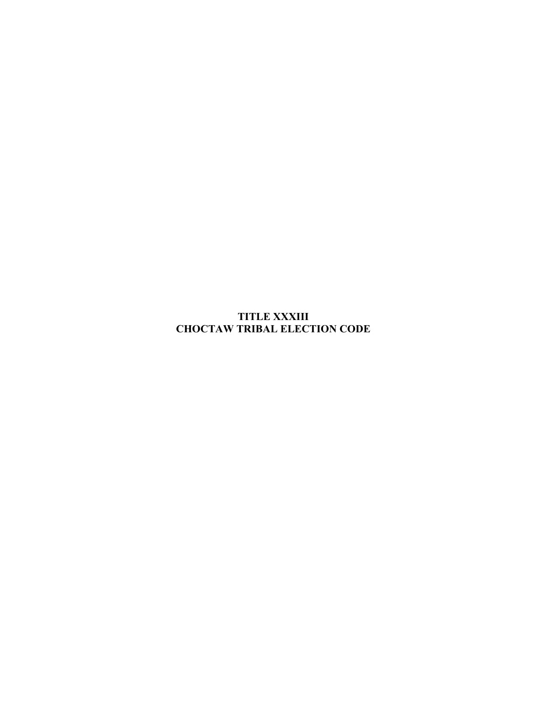**TITLE XXXIII CHOCTAW TRIBAL ELECTION CODE**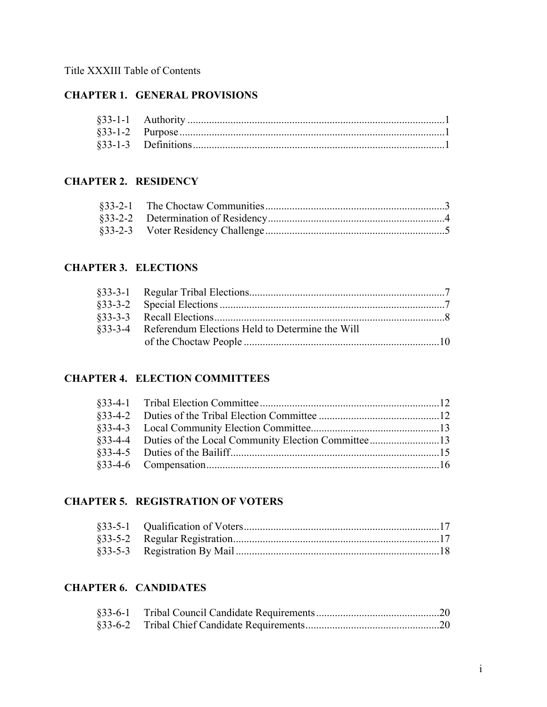## Title XXXIII Table of Contents

# **CHAPTER 1. GENERAL PROVISIONS**

#### **CHAPTER 2. RESIDENCY**

#### **CHAPTER 3. ELECTIONS**

| §33-3-4 Referendum Elections Held to Determine the Will |  |
|---------------------------------------------------------|--|
|                                                         |  |

### **CHAPTER 4. ELECTION COMMITTEES**

### **CHAPTER 5. REGISTRATION OF VOTERS**

### **CHAPTER 6. CANDIDATES**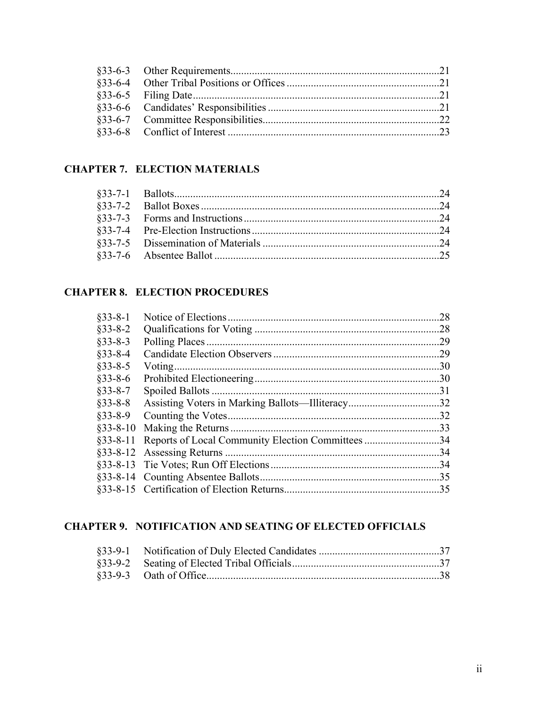# **CHAPTER 7. ELECTION MATERIALS**

# **CHAPTER 8. ELECTION PROCEDURES**

| $§$ 33-8-1    | 28  |
|---------------|-----|
| $§33 - 8 - 2$ | .28 |
| $§33 - 8 - 3$ | .29 |
| $§33 - 8 - 4$ | .29 |
| $§33 - 8 - 5$ | .30 |
| $§$ 33-8-6    | .30 |
| $§33 - 8 - 7$ | .31 |
| $§33 - 8 - 8$ |     |
| $§33 - 8 - 9$ | .32 |
| $§$ 33-8-10   | .33 |
| $§$ 33-8-11   | .34 |
|               | .34 |
|               | .34 |
|               | .35 |
|               | .35 |

# **CHAPTER 9. NOTIFICATION AND SEATING OF ELECTED OFFICIALS**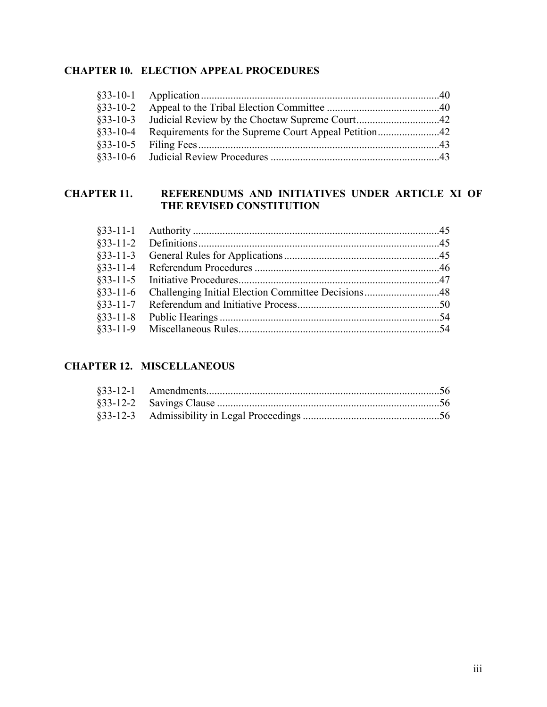# **CHAPTER 10. ELECTION APPEAL PROCEDURES**

### **CHAPTER 11. REFERENDUMS AND INITIATIVES UNDER ARTICLE XI OF THE REVISED CONSTITUTION**

# **CHAPTER 12. MISCELLANEOUS**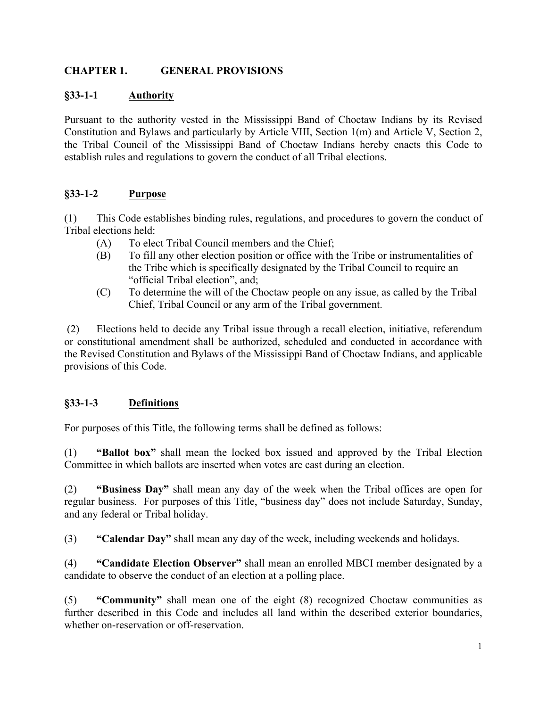## **CHAPTER 1. GENERAL PROVISIONS**

### **§33-1-1 Authority**

Pursuant to the authority vested in the Mississippi Band of Choctaw Indians by its Revised Constitution and Bylaws and particularly by Article VIII, Section 1(m) and Article V, Section 2, the Tribal Council of the Mississippi Band of Choctaw Indians hereby enacts this Code to establish rules and regulations to govern the conduct of all Tribal elections.

## **§33-1-2 Purpose**

(1) This Code establishes binding rules, regulations, and procedures to govern the conduct of Tribal elections held:

- (A) To elect Tribal Council members and the Chief;
- (B) To fill any other election position or office with the Tribe or instrumentalities of the Tribe which is specifically designated by the Tribal Council to require an "official Tribal election", and;
- (C) To determine the will of the Choctaw people on any issue, as called by the Tribal Chief, Tribal Council or any arm of the Tribal government.

(2) Elections held to decide any Tribal issue through a recall election, initiative, referendum or constitutional amendment shall be authorized, scheduled and conducted in accordance with the Revised Constitution and Bylaws of the Mississippi Band of Choctaw Indians, and applicable provisions of this Code.

## **§33-1-3 Definitions**

For purposes of this Title, the following terms shall be defined as follows:

(1) **"Ballot box"** shall mean the locked box issued and approved by the Tribal Election Committee in which ballots are inserted when votes are cast during an election.

(2) **"Business Day"** shall mean any day of the week when the Tribal offices are open for regular business. For purposes of this Title, "business day" does not include Saturday, Sunday, and any federal or Tribal holiday.

(3) **"Calendar Day"** shall mean any day of the week, including weekends and holidays.

(4) **"Candidate Election Observer"** shall mean an enrolled MBCI member designated by a candidate to observe the conduct of an election at a polling place.

(5) **"Community"** shall mean one of the eight (8) recognized Choctaw communities as further described in this Code and includes all land within the described exterior boundaries, whether on-reservation or off-reservation.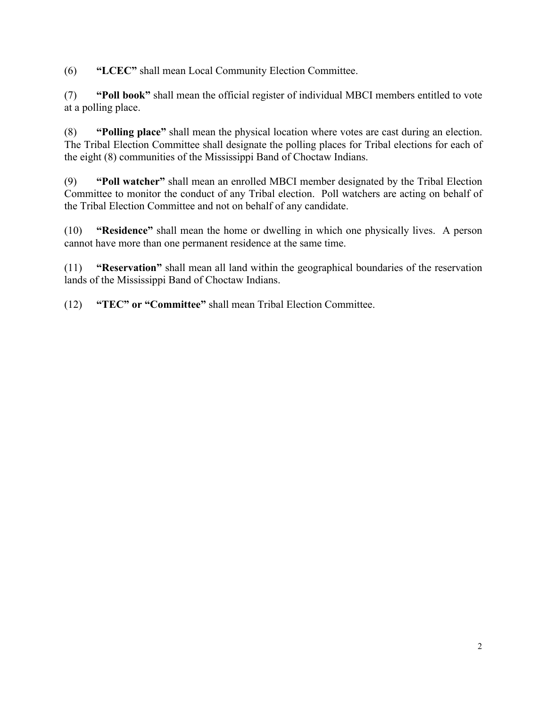(6) **"LCEC"** shall mean Local Community Election Committee.

(7) **"Poll book"** shall mean the official register of individual MBCI members entitled to vote at a polling place.

(8) **"Polling place"** shall mean the physical location where votes are cast during an election. The Tribal Election Committee shall designate the polling places for Tribal elections for each of the eight (8) communities of the Mississippi Band of Choctaw Indians.

(9) **"Poll watcher"** shall mean an enrolled MBCI member designated by the Tribal Election Committee to monitor the conduct of any Tribal election. Poll watchers are acting on behalf of the Tribal Election Committee and not on behalf of any candidate.

(10) **"Residence"** shall mean the home or dwelling in which one physically lives. A person cannot have more than one permanent residence at the same time.

(11) **"Reservation"** shall mean all land within the geographical boundaries of the reservation lands of the Mississippi Band of Choctaw Indians.

(12) **"TEC" or "Committee"** shall mean Tribal Election Committee.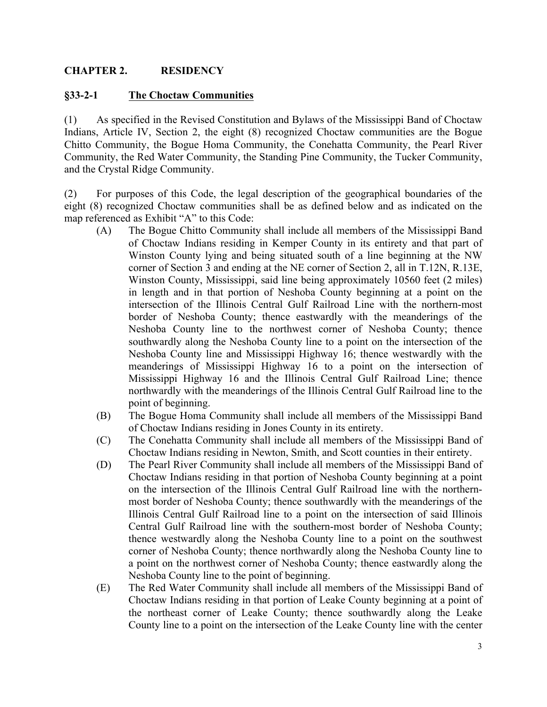#### **CHAPTER 2. RESIDENCY**

#### **§33-2-1 The Choctaw Communities**

(1) As specified in the Revised Constitution and Bylaws of the Mississippi Band of Choctaw Indians, Article IV, Section 2, the eight (8) recognized Choctaw communities are the Bogue Chitto Community, the Bogue Homa Community, the Conehatta Community, the Pearl River Community, the Red Water Community, the Standing Pine Community, the Tucker Community, and the Crystal Ridge Community.

(2) For purposes of this Code, the legal description of the geographical boundaries of the eight (8) recognized Choctaw communities shall be as defined below and as indicated on the map referenced as Exhibit "A" to this Code:

- (A) The Bogue Chitto Community shall include all members of the Mississippi Band of Choctaw Indians residing in Kemper County in its entirety and that part of Winston County lying and being situated south of a line beginning at the NW corner of Section 3 and ending at the NE corner of Section 2, all in T.12N, R.13E, Winston County, Mississippi, said line being approximately 10560 feet (2 miles) in length and in that portion of Neshoba County beginning at a point on the intersection of the Illinois Central Gulf Railroad Line with the northern-most border of Neshoba County; thence eastwardly with the meanderings of the Neshoba County line to the northwest corner of Neshoba County; thence southwardly along the Neshoba County line to a point on the intersection of the Neshoba County line and Mississippi Highway 16; thence westwardly with the meanderings of Mississippi Highway 16 to a point on the intersection of Mississippi Highway 16 and the Illinois Central Gulf Railroad Line; thence northwardly with the meanderings of the Illinois Central Gulf Railroad line to the point of beginning.
- (B) The Bogue Homa Community shall include all members of the Mississippi Band of Choctaw Indians residing in Jones County in its entirety.
- (C) The Conehatta Community shall include all members of the Mississippi Band of Choctaw Indians residing in Newton, Smith, and Scott counties in their entirety.
- (D) The Pearl River Community shall include all members of the Mississippi Band of Choctaw Indians residing in that portion of Neshoba County beginning at a point on the intersection of the Illinois Central Gulf Railroad line with the northernmost border of Neshoba County; thence southwardly with the meanderings of the Illinois Central Gulf Railroad line to a point on the intersection of said Illinois Central Gulf Railroad line with the southern-most border of Neshoba County; thence westwardly along the Neshoba County line to a point on the southwest corner of Neshoba County; thence northwardly along the Neshoba County line to a point on the northwest corner of Neshoba County; thence eastwardly along the Neshoba County line to the point of beginning.
- (E) The Red Water Community shall include all members of the Mississippi Band of Choctaw Indians residing in that portion of Leake County beginning at a point of the northeast corner of Leake County; thence southwardly along the Leake County line to a point on the intersection of the Leake County line with the center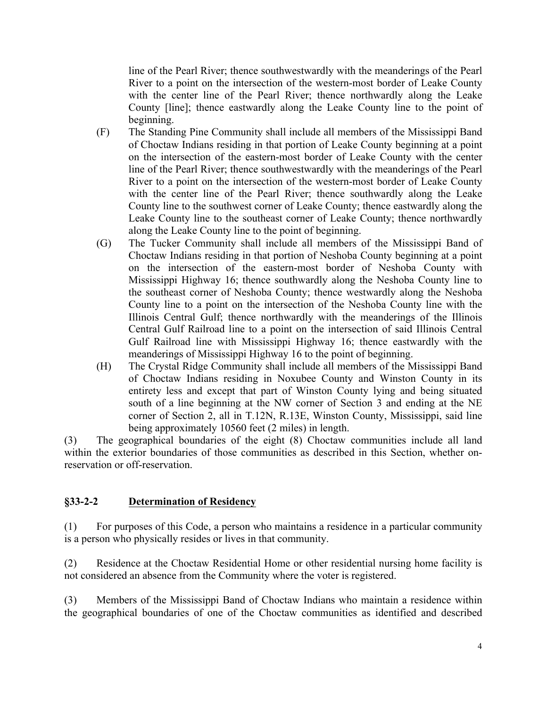line of the Pearl River; thence southwestwardly with the meanderings of the Pearl River to a point on the intersection of the western-most border of Leake County with the center line of the Pearl River; thence northwardly along the Leake County [line]; thence eastwardly along the Leake County line to the point of beginning.

- (F) The Standing Pine Community shall include all members of the Mississippi Band of Choctaw Indians residing in that portion of Leake County beginning at a point on the intersection of the eastern-most border of Leake County with the center line of the Pearl River; thence southwestwardly with the meanderings of the Pearl River to a point on the intersection of the western-most border of Leake County with the center line of the Pearl River; thence southwardly along the Leake County line to the southwest corner of Leake County; thence eastwardly along the Leake County line to the southeast corner of Leake County; thence northwardly along the Leake County line to the point of beginning.
- (G) The Tucker Community shall include all members of the Mississippi Band of Choctaw Indians residing in that portion of Neshoba County beginning at a point on the intersection of the eastern-most border of Neshoba County with Mississippi Highway 16; thence southwardly along the Neshoba County line to the southeast corner of Neshoba County; thence westwardly along the Neshoba County line to a point on the intersection of the Neshoba County line with the Illinois Central Gulf; thence northwardly with the meanderings of the Illinois Central Gulf Railroad line to a point on the intersection of said Illinois Central Gulf Railroad line with Mississippi Highway 16; thence eastwardly with the meanderings of Mississippi Highway 16 to the point of beginning.
- (H) The Crystal Ridge Community shall include all members of the Mississippi Band of Choctaw Indians residing in Noxubee County and Winston County in its entirety less and except that part of Winston County lying and being situated south of a line beginning at the NW corner of Section 3 and ending at the NE corner of Section 2, all in T.12N, R.13E, Winston County, Mississippi, said line being approximately 10560 feet (2 miles) in length.

(3) The geographical boundaries of the eight (8) Choctaw communities include all land within the exterior boundaries of those communities as described in this Section, whether onreservation or off-reservation.

#### **§33-2-2 Determination of Residency**

(1) For purposes of this Code, a person who maintains a residence in a particular community is a person who physically resides or lives in that community.

(2) Residence at the Choctaw Residential Home or other residential nursing home facility is not considered an absence from the Community where the voter is registered.

(3) Members of the Mississippi Band of Choctaw Indians who maintain a residence within the geographical boundaries of one of the Choctaw communities as identified and described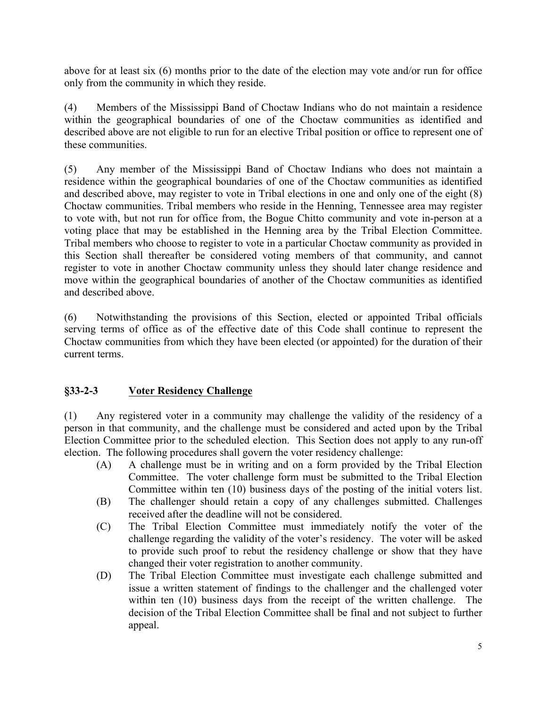above for at least six (6) months prior to the date of the election may vote and/or run for office only from the community in which they reside.

(4) Members of the Mississippi Band of Choctaw Indians who do not maintain a residence within the geographical boundaries of one of the Choctaw communities as identified and described above are not eligible to run for an elective Tribal position or office to represent one of these communities.

(5) Any member of the Mississippi Band of Choctaw Indians who does not maintain a residence within the geographical boundaries of one of the Choctaw communities as identified and described above, may register to vote in Tribal elections in one and only one of the eight (8) Choctaw communities. Tribal members who reside in the Henning, Tennessee area may register to vote with, but not run for office from, the Bogue Chitto community and vote in-person at a voting place that may be established in the Henning area by the Tribal Election Committee. Tribal members who choose to register to vote in a particular Choctaw community as provided in this Section shall thereafter be considered voting members of that community, and cannot register to vote in another Choctaw community unless they should later change residence and move within the geographical boundaries of another of the Choctaw communities as identified and described above.

(6) Notwithstanding the provisions of this Section, elected or appointed Tribal officials serving terms of office as of the effective date of this Code shall continue to represent the Choctaw communities from which they have been elected (or appointed) for the duration of their current terms.

## **§33-2-3 Voter Residency Challenge**

(1) Any registered voter in a community may challenge the validity of the residency of a person in that community, and the challenge must be considered and acted upon by the Tribal Election Committee prior to the scheduled election. This Section does not apply to any run-off election. The following procedures shall govern the voter residency challenge:

- (A) A challenge must be in writing and on a form provided by the Tribal Election Committee. The voter challenge form must be submitted to the Tribal Election Committee within ten (10) business days of the posting of the initial voters list.
- (B) The challenger should retain a copy of any challenges submitted. Challenges received after the deadline will not be considered.
- (C) The Tribal Election Committee must immediately notify the voter of the challenge regarding the validity of the voter's residency. The voter will be asked to provide such proof to rebut the residency challenge or show that they have changed their voter registration to another community.
- (D) The Tribal Election Committee must investigate each challenge submitted and issue a written statement of findings to the challenger and the challenged voter within ten (10) business days from the receipt of the written challenge. The decision of the Tribal Election Committee shall be final and not subject to further appeal.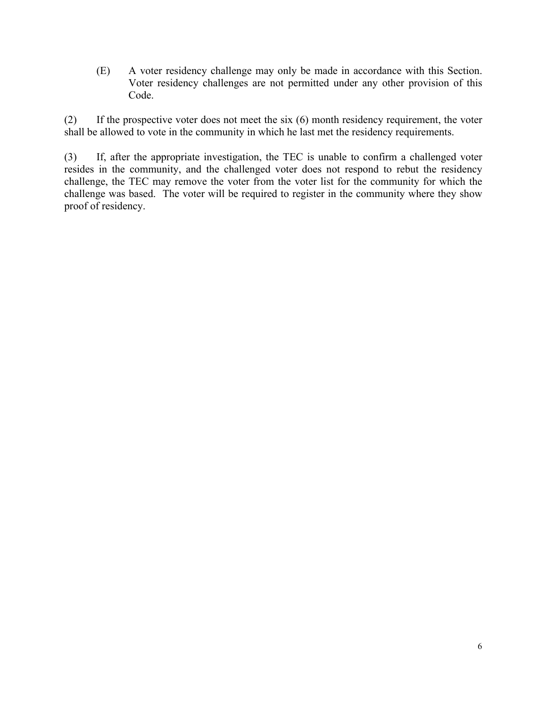(E) A voter residency challenge may only be made in accordance with this Section. Voter residency challenges are not permitted under any other provision of this Code.

(2) If the prospective voter does not meet the six (6) month residency requirement, the voter shall be allowed to vote in the community in which he last met the residency requirements.

(3) If, after the appropriate investigation, the TEC is unable to confirm a challenged voter resides in the community, and the challenged voter does not respond to rebut the residency challenge, the TEC may remove the voter from the voter list for the community for which the challenge was based. The voter will be required to register in the community where they show proof of residency.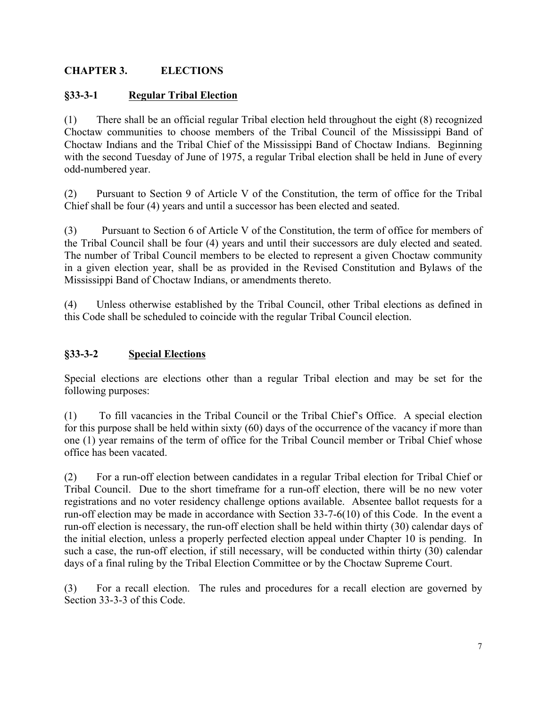## **CHAPTER 3. ELECTIONS**

### **§33-3-1 Regular Tribal Election**

(1) There shall be an official regular Tribal election held throughout the eight (8) recognized Choctaw communities to choose members of the Tribal Council of the Mississippi Band of Choctaw Indians and the Tribal Chief of the Mississippi Band of Choctaw Indians. Beginning with the second Tuesday of June of 1975, a regular Tribal election shall be held in June of every odd-numbered year.

(2) Pursuant to Section 9 of Article V of the Constitution, the term of office for the Tribal Chief shall be four (4) years and until a successor has been elected and seated.

(3) Pursuant to Section 6 of Article V of the Constitution, the term of office for members of the Tribal Council shall be four (4) years and until their successors are duly elected and seated. The number of Tribal Council members to be elected to represent a given Choctaw community in a given election year, shall be as provided in the Revised Constitution and Bylaws of the Mississippi Band of Choctaw Indians, or amendments thereto.

(4) Unless otherwise established by the Tribal Council, other Tribal elections as defined in this Code shall be scheduled to coincide with the regular Tribal Council election.

### **§33-3-2 Special Elections**

Special elections are elections other than a regular Tribal election and may be set for the following purposes:

(1) To fill vacancies in the Tribal Council or the Tribal Chief's Office. A special election for this purpose shall be held within sixty (60) days of the occurrence of the vacancy if more than one (1) year remains of the term of office for the Tribal Council member or Tribal Chief whose office has been vacated.

(2) For a run-off election between candidates in a regular Tribal election for Tribal Chief or Tribal Council. Due to the short timeframe for a run-off election, there will be no new voter registrations and no voter residency challenge options available. Absentee ballot requests for a run-off election may be made in accordance with Section 33-7-6(10) of this Code. In the event a run-off election is necessary, the run-off election shall be held within thirty (30) calendar days of the initial election, unless a properly perfected election appeal under Chapter 10 is pending. In such a case, the run-off election, if still necessary, will be conducted within thirty (30) calendar days of a final ruling by the Tribal Election Committee or by the Choctaw Supreme Court.

(3) For a recall election. The rules and procedures for a recall election are governed by Section 33-3-3 of this Code.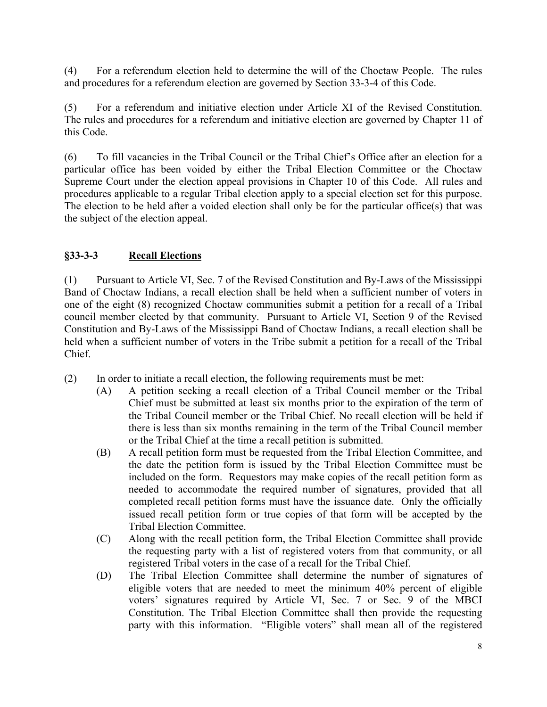(4) For a referendum election held to determine the will of the Choctaw People. The rules and procedures for a referendum election are governed by Section 33-3-4 of this Code.

(5) For a referendum and initiative election under Article XI of the Revised Constitution. The rules and procedures for a referendum and initiative election are governed by Chapter 11 of this Code.

(6) To fill vacancies in the Tribal Council or the Tribal Chief's Office after an election for a particular office has been voided by either the Tribal Election Committee or the Choctaw Supreme Court under the election appeal provisions in Chapter 10 of this Code. All rules and procedures applicable to a regular Tribal election apply to a special election set for this purpose. The election to be held after a voided election shall only be for the particular office(s) that was the subject of the election appeal.

## **§33-3-3 Recall Elections**

(1) Pursuant to Article VI, Sec. 7 of the Revised Constitution and By-Laws of the Mississippi Band of Choctaw Indians, a recall election shall be held when a sufficient number of voters in one of the eight (8) recognized Choctaw communities submit a petition for a recall of a Tribal council member elected by that community. Pursuant to Article VI, Section 9 of the Revised Constitution and By-Laws of the Mississippi Band of Choctaw Indians, a recall election shall be held when a sufficient number of voters in the Tribe submit a petition for a recall of the Tribal Chief.

- (2) In order to initiate a recall election, the following requirements must be met:
	- (A) A petition seeking a recall election of a Tribal Council member or the Tribal Chief must be submitted at least six months prior to the expiration of the term of the Tribal Council member or the Tribal Chief. No recall election will be held if there is less than six months remaining in the term of the Tribal Council member or the Tribal Chief at the time a recall petition is submitted.
	- (B) A recall petition form must be requested from the Tribal Election Committee, and the date the petition form is issued by the Tribal Election Committee must be included on the form. Requestors may make copies of the recall petition form as needed to accommodate the required number of signatures, provided that all completed recall petition forms must have the issuance date. Only the officially issued recall petition form or true copies of that form will be accepted by the Tribal Election Committee.
	- (C) Along with the recall petition form, the Tribal Election Committee shall provide the requesting party with a list of registered voters from that community, or all registered Tribal voters in the case of a recall for the Tribal Chief.
	- (D) The Tribal Election Committee shall determine the number of signatures of eligible voters that are needed to meet the minimum 40% percent of eligible voters' signatures required by Article VI, Sec. 7 or Sec. 9 of the MBCI Constitution. The Tribal Election Committee shall then provide the requesting party with this information. "Eligible voters" shall mean all of the registered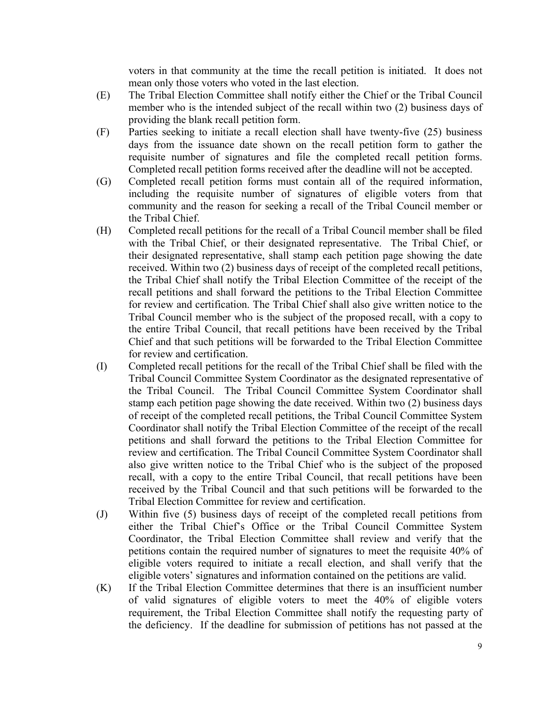voters in that community at the time the recall petition is initiated. It does not mean only those voters who voted in the last election.

- (E) The Tribal Election Committee shall notify either the Chief or the Tribal Council member who is the intended subject of the recall within two (2) business days of providing the blank recall petition form.
- (F) Parties seeking to initiate a recall election shall have twenty-five (25) business days from the issuance date shown on the recall petition form to gather the requisite number of signatures and file the completed recall petition forms. Completed recall petition forms received after the deadline will not be accepted.
- (G) Completed recall petition forms must contain all of the required information, including the requisite number of signatures of eligible voters from that community and the reason for seeking a recall of the Tribal Council member or the Tribal Chief.
- (H) Completed recall petitions for the recall of a Tribal Council member shall be filed with the Tribal Chief, or their designated representative. The Tribal Chief, or their designated representative, shall stamp each petition page showing the date received. Within two (2) business days of receipt of the completed recall petitions, the Tribal Chief shall notify the Tribal Election Committee of the receipt of the recall petitions and shall forward the petitions to the Tribal Election Committee for review and certification. The Tribal Chief shall also give written notice to the Tribal Council member who is the subject of the proposed recall, with a copy to the entire Tribal Council, that recall petitions have been received by the Tribal Chief and that such petitions will be forwarded to the Tribal Election Committee for review and certification.
- (I) Completed recall petitions for the recall of the Tribal Chief shall be filed with the Tribal Council Committee System Coordinator as the designated representative of the Tribal Council. The Tribal Council Committee System Coordinator shall stamp each petition page showing the date received. Within two (2) business days of receipt of the completed recall petitions, the Tribal Council Committee System Coordinator shall notify the Tribal Election Committee of the receipt of the recall petitions and shall forward the petitions to the Tribal Election Committee for review and certification. The Tribal Council Committee System Coordinator shall also give written notice to the Tribal Chief who is the subject of the proposed recall, with a copy to the entire Tribal Council, that recall petitions have been received by the Tribal Council and that such petitions will be forwarded to the Tribal Election Committee for review and certification.
- (J) Within five (5) business days of receipt of the completed recall petitions from either the Tribal Chief's Office or the Tribal Council Committee System Coordinator, the Tribal Election Committee shall review and verify that the petitions contain the required number of signatures to meet the requisite 40% of eligible voters required to initiate a recall election, and shall verify that the eligible voters' signatures and information contained on the petitions are valid.
- (K) If the Tribal Election Committee determines that there is an insufficient number of valid signatures of eligible voters to meet the 40% of eligible voters requirement, the Tribal Election Committee shall notify the requesting party of the deficiency. If the deadline for submission of petitions has not passed at the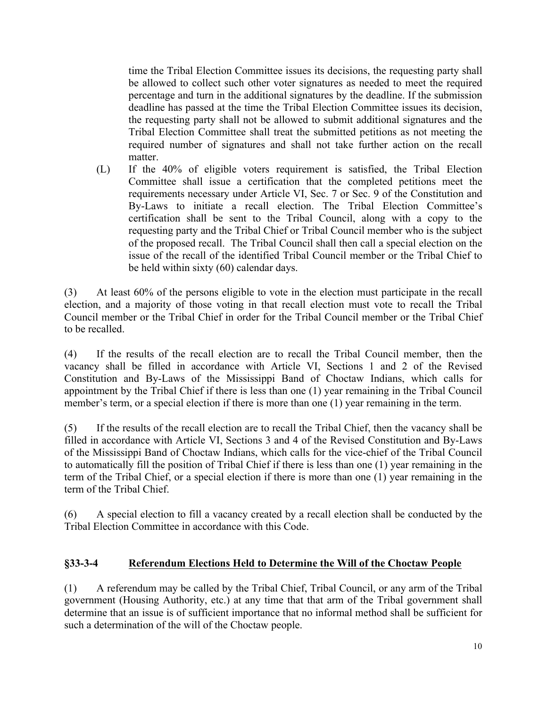time the Tribal Election Committee issues its decisions, the requesting party shall be allowed to collect such other voter signatures as needed to meet the required percentage and turn in the additional signatures by the deadline. If the submission deadline has passed at the time the Tribal Election Committee issues its decision, the requesting party shall not be allowed to submit additional signatures and the Tribal Election Committee shall treat the submitted petitions as not meeting the required number of signatures and shall not take further action on the recall matter.

(L) If the 40% of eligible voters requirement is satisfied, the Tribal Election Committee shall issue a certification that the completed petitions meet the requirements necessary under Article VI, Sec. 7 or Sec. 9 of the Constitution and By-Laws to initiate a recall election. The Tribal Election Committee's certification shall be sent to the Tribal Council, along with a copy to the requesting party and the Tribal Chief or Tribal Council member who is the subject of the proposed recall. The Tribal Council shall then call a special election on the issue of the recall of the identified Tribal Council member or the Tribal Chief to be held within sixty (60) calendar days.

(3) At least 60% of the persons eligible to vote in the election must participate in the recall election, and a majority of those voting in that recall election must vote to recall the Tribal Council member or the Tribal Chief in order for the Tribal Council member or the Tribal Chief to be recalled.

(4) If the results of the recall election are to recall the Tribal Council member, then the vacancy shall be filled in accordance with Article VI, Sections 1 and 2 of the Revised Constitution and By-Laws of the Mississippi Band of Choctaw Indians, which calls for appointment by the Tribal Chief if there is less than one (1) year remaining in the Tribal Council member's term, or a special election if there is more than one (1) year remaining in the term.

(5) If the results of the recall election are to recall the Tribal Chief, then the vacancy shall be filled in accordance with Article VI, Sections 3 and 4 of the Revised Constitution and By-Laws of the Mississippi Band of Choctaw Indians, which calls for the vice-chief of the Tribal Council to automatically fill the position of Tribal Chief if there is less than one (1) year remaining in the term of the Tribal Chief, or a special election if there is more than one (1) year remaining in the term of the Tribal Chief.

(6) A special election to fill a vacancy created by a recall election shall be conducted by the Tribal Election Committee in accordance with this Code.

#### **§33-3-4 Referendum Elections Held to Determine the Will of the Choctaw People**

(1) A referendum may be called by the Tribal Chief, Tribal Council, or any arm of the Tribal government (Housing Authority, etc.) at any time that that arm of the Tribal government shall determine that an issue is of sufficient importance that no informal method shall be sufficient for such a determination of the will of the Choctaw people.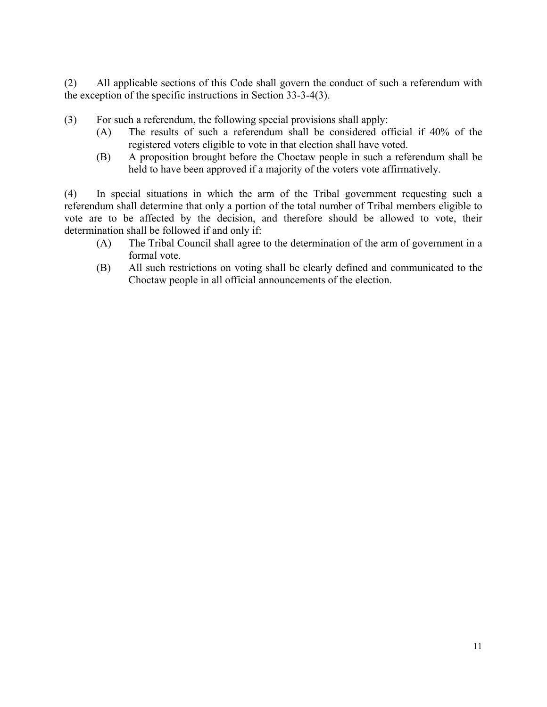(2) All applicable sections of this Code shall govern the conduct of such a referendum with the exception of the specific instructions in Section 33-3-4(3).

- (3) For such a referendum, the following special provisions shall apply:
	- (A) The results of such a referendum shall be considered official if 40% of the registered voters eligible to vote in that election shall have voted.
	- (B) A proposition brought before the Choctaw people in such a referendum shall be held to have been approved if a majority of the voters vote affirmatively.

(4) In special situations in which the arm of the Tribal government requesting such a referendum shall determine that only a portion of the total number of Tribal members eligible to vote are to be affected by the decision, and therefore should be allowed to vote, their determination shall be followed if and only if:

- (A) The Tribal Council shall agree to the determination of the arm of government in a formal vote.
- (B) All such restrictions on voting shall be clearly defined and communicated to the Choctaw people in all official announcements of the election.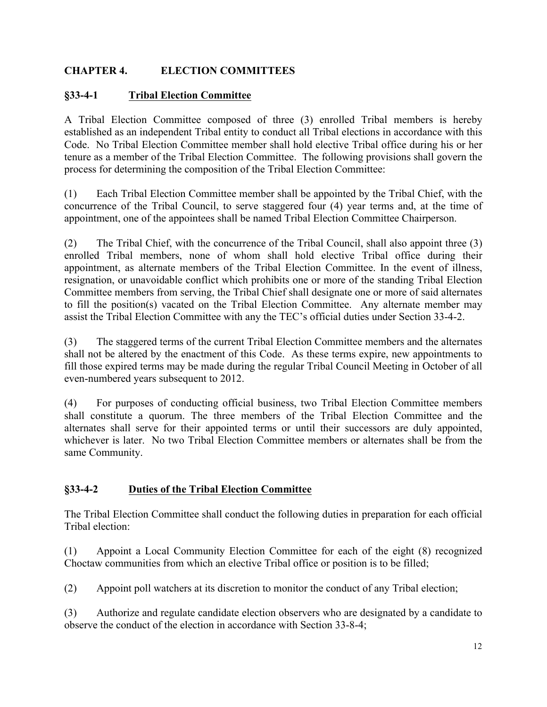## **CHAPTER 4. ELECTION COMMITTEES**

### **§33-4-1 Tribal Election Committee**

A Tribal Election Committee composed of three (3) enrolled Tribal members is hereby established as an independent Tribal entity to conduct all Tribal elections in accordance with this Code. No Tribal Election Committee member shall hold elective Tribal office during his or her tenure as a member of the Tribal Election Committee. The following provisions shall govern the process for determining the composition of the Tribal Election Committee:

(1) Each Tribal Election Committee member shall be appointed by the Tribal Chief, with the concurrence of the Tribal Council, to serve staggered four (4) year terms and, at the time of appointment, one of the appointees shall be named Tribal Election Committee Chairperson.

(2) The Tribal Chief, with the concurrence of the Tribal Council, shall also appoint three (3) enrolled Tribal members, none of whom shall hold elective Tribal office during their appointment, as alternate members of the Tribal Election Committee. In the event of illness, resignation, or unavoidable conflict which prohibits one or more of the standing Tribal Election Committee members from serving, the Tribal Chief shall designate one or more of said alternates to fill the position(s) vacated on the Tribal Election Committee. Any alternate member may assist the Tribal Election Committee with any the TEC's official duties under Section 33-4-2.

(3) The staggered terms of the current Tribal Election Committee members and the alternates shall not be altered by the enactment of this Code. As these terms expire, new appointments to fill those expired terms may be made during the regular Tribal Council Meeting in October of all even-numbered years subsequent to 2012.

(4) For purposes of conducting official business, two Tribal Election Committee members shall constitute a quorum. The three members of the Tribal Election Committee and the alternates shall serve for their appointed terms or until their successors are duly appointed, whichever is later. No two Tribal Election Committee members or alternates shall be from the same Community.

## **§33-4-2 Duties of the Tribal Election Committee**

The Tribal Election Committee shall conduct the following duties in preparation for each official Tribal election:

(1) Appoint a Local Community Election Committee for each of the eight (8) recognized Choctaw communities from which an elective Tribal office or position is to be filled;

(2) Appoint poll watchers at its discretion to monitor the conduct of any Tribal election;

(3) Authorize and regulate candidate election observers who are designated by a candidate to observe the conduct of the election in accordance with Section 33-8-4;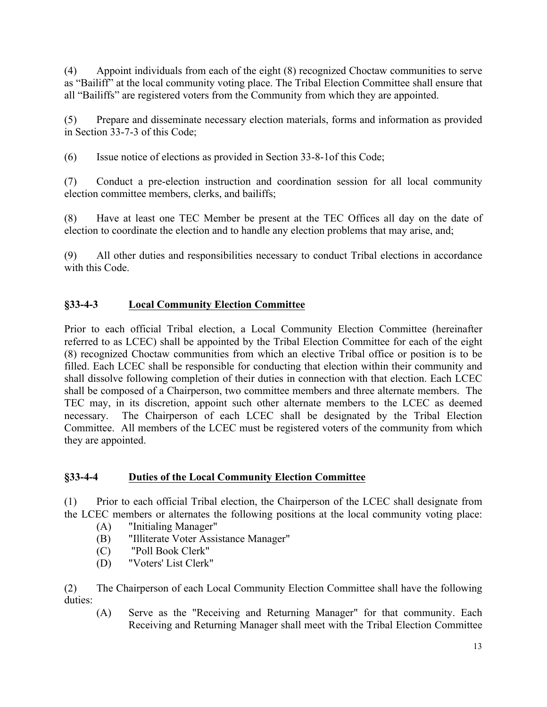(4) Appoint individuals from each of the eight (8) recognized Choctaw communities to serve as "Bailiff" at the local community voting place. The Tribal Election Committee shall ensure that all "Bailiffs" are registered voters from the Community from which they are appointed.

(5) Prepare and disseminate necessary election materials, forms and information as provided in Section 33-7-3 of this Code;

(6) Issue notice of elections as provided in Section 33-8-1of this Code;

(7) Conduct a pre-election instruction and coordination session for all local community election committee members, clerks, and bailiffs;

(8) Have at least one TEC Member be present at the TEC Offices all day on the date of election to coordinate the election and to handle any election problems that may arise, and;

(9) All other duties and responsibilities necessary to conduct Tribal elections in accordance with this Code.

# **§33-4-3 Local Community Election Committee**

Prior to each official Tribal election, a Local Community Election Committee (hereinafter referred to as LCEC) shall be appointed by the Tribal Election Committee for each of the eight (8) recognized Choctaw communities from which an elective Tribal office or position is to be filled. Each LCEC shall be responsible for conducting that election within their community and shall dissolve following completion of their duties in connection with that election. Each LCEC shall be composed of a Chairperson, two committee members and three alternate members. The TEC may, in its discretion, appoint such other alternate members to the LCEC as deemed necessary. The Chairperson of each LCEC shall be designated by the Tribal Election Committee. All members of the LCEC must be registered voters of the community from which they are appointed.

## **§33-4-4 Duties of the Local Community Election Committee**

(1) Prior to each official Tribal election, the Chairperson of the LCEC shall designate from the LCEC members or alternates the following positions at the local community voting place:

- (A) "Initialing Manager"
- (B) "Illiterate Voter Assistance Manager"
- (C) "Poll Book Clerk"
- (D) "Voters' List Clerk"

(2) The Chairperson of each Local Community Election Committee shall have the following duties:

(A) Serve as the "Receiving and Returning Manager" for that community. Each Receiving and Returning Manager shall meet with the Tribal Election Committee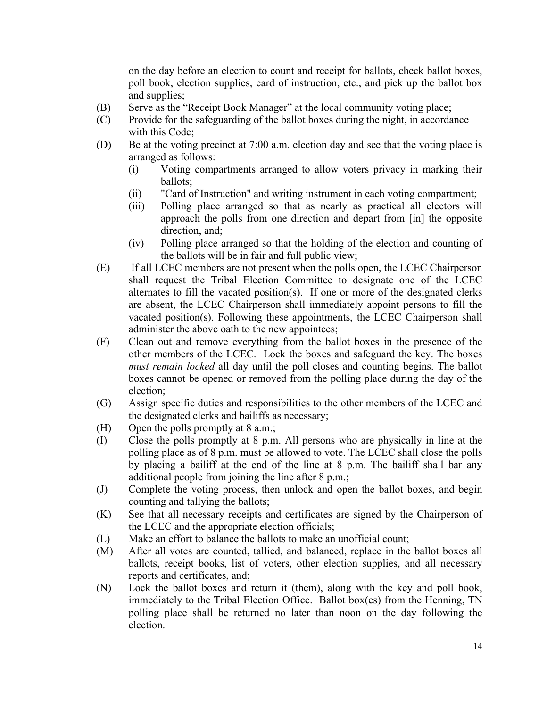on the day before an election to count and receipt for ballots, check ballot boxes, poll book, election supplies, card of instruction, etc., and pick up the ballot box and supplies;

- (B) Serve as the "Receipt Book Manager" at the local community voting place;
- (C) Provide for the safeguarding of the ballot boxes during the night, in accordance with this Code;
- (D) Be at the voting precinct at 7:00 a.m. election day and see that the voting place is arranged as follows:
	- (i) Voting compartments arranged to allow voters privacy in marking their ballots;
	- (ii) "Card of Instruction" and writing instrument in each voting compartment;
	- (iii) Polling place arranged so that as nearly as practical all electors will approach the polls from one direction and depart from [in] the opposite direction, and;
	- (iv) Polling place arranged so that the holding of the election and counting of the ballots will be in fair and full public view;
- (E) If all LCEC members are not present when the polls open, the LCEC Chairperson shall request the Tribal Election Committee to designate one of the LCEC alternates to fill the vacated position(s). If one or more of the designated clerks are absent, the LCEC Chairperson shall immediately appoint persons to fill the vacated position(s). Following these appointments, the LCEC Chairperson shall administer the above oath to the new appointees;
- (F) Clean out and remove everything from the ballot boxes in the presence of the other members of the LCEC. Lock the boxes and safeguard the key. The boxes *must remain locked* all day until the poll closes and counting begins. The ballot boxes cannot be opened or removed from the polling place during the day of the election;
- (G) Assign specific duties and responsibilities to the other members of the LCEC and the designated clerks and bailiffs as necessary;
- (H) Open the polls promptly at 8 a.m.;
- (I) Close the polls promptly at 8 p.m. All persons who are physically in line at the polling place as of 8 p.m. must be allowed to vote. The LCEC shall close the polls by placing a bailiff at the end of the line at 8 p.m. The bailiff shall bar any additional people from joining the line after 8 p.m.;
- (J) Complete the voting process, then unlock and open the ballot boxes, and begin counting and tallying the ballots;
- (K) See that all necessary receipts and certificates are signed by the Chairperson of the LCEC and the appropriate election officials;
- (L) Make an effort to balance the ballots to make an unofficial count;
- (M) After all votes are counted, tallied, and balanced, replace in the ballot boxes all ballots, receipt books, list of voters, other election supplies, and all necessary reports and certificates, and;
- (N) Lock the ballot boxes and return it (them), along with the key and poll book, immediately to the Tribal Election Office. Ballot box(es) from the Henning, TN polling place shall be returned no later than noon on the day following the election.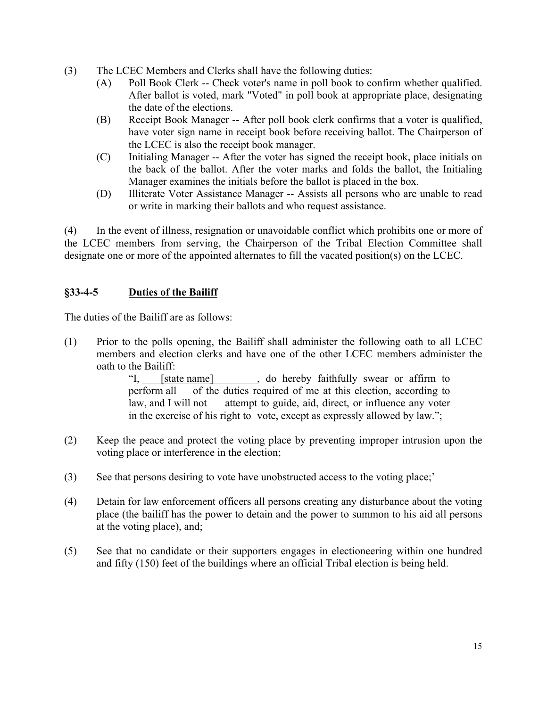- (3) The LCEC Members and Clerks shall have the following duties:
	- (A) Poll Book Clerk -- Check voter's name in poll book to confirm whether qualified. After ballot is voted, mark "Voted" in poll book at appropriate place, designating the date of the elections.
	- (B) Receipt Book Manager -- After poll book clerk confirms that a voter is qualified, have voter sign name in receipt book before receiving ballot. The Chairperson of the LCEC is also the receipt book manager.
	- (C) Initialing Manager -- After the voter has signed the receipt book, place initials on the back of the ballot. After the voter marks and folds the ballot, the Initialing Manager examines the initials before the ballot is placed in the box.
	- (D) Illiterate Voter Assistance Manager -- Assists all persons who are unable to read or write in marking their ballots and who request assistance.

(4) In the event of illness, resignation or unavoidable conflict which prohibits one or more of the LCEC members from serving, the Chairperson of the Tribal Election Committee shall designate one or more of the appointed alternates to fill the vacated position(s) on the LCEC.

## **§33-4-5 Duties of the Bailiff**

The duties of the Bailiff are as follows:

(1) Prior to the polls opening, the Bailiff shall administer the following oath to all LCEC members and election clerks and have one of the other LCEC members administer the oath to the Bailiff:

> "I, [state name] , do hereby faithfully swear or affirm to perform all of the duties required of me at this election, according to law, and I will not attempt to guide, aid, direct, or influence any voter in the exercise of his right to vote, except as expressly allowed by law.";

- (2) Keep the peace and protect the voting place by preventing improper intrusion upon the voting place or interference in the election;
- (3) See that persons desiring to vote have unobstructed access to the voting place;'
- (4) Detain for law enforcement officers all persons creating any disturbance about the voting place (the bailiff has the power to detain and the power to summon to his aid all persons at the voting place), and;
- (5) See that no candidate or their supporters engages in electioneering within one hundred and fifty (150) feet of the buildings where an official Tribal election is being held.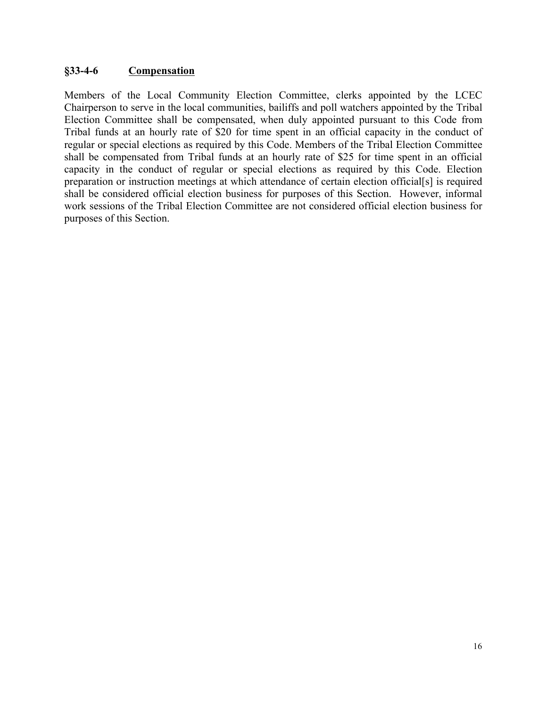#### **§33-4-6 Compensation**

Members of the Local Community Election Committee, clerks appointed by the LCEC Chairperson to serve in the local communities, bailiffs and poll watchers appointed by the Tribal Election Committee shall be compensated, when duly appointed pursuant to this Code from Tribal funds at an hourly rate of \$20 for time spent in an official capacity in the conduct of regular or special elections as required by this Code. Members of the Tribal Election Committee shall be compensated from Tribal funds at an hourly rate of \$25 for time spent in an official capacity in the conduct of regular or special elections as required by this Code. Election preparation or instruction meetings at which attendance of certain election official[s] is required shall be considered official election business for purposes of this Section. However, informal work sessions of the Tribal Election Committee are not considered official election business for purposes of this Section.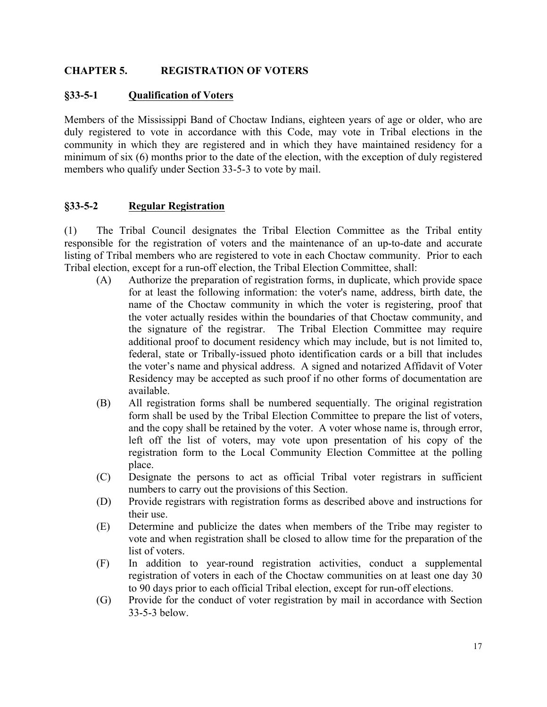#### **CHAPTER 5. REGISTRATION OF VOTERS**

#### **§33-5-1 Qualification of Voters**

Members of the Mississippi Band of Choctaw Indians, eighteen years of age or older, who are duly registered to vote in accordance with this Code, may vote in Tribal elections in the community in which they are registered and in which they have maintained residency for a minimum of six (6) months prior to the date of the election, with the exception of duly registered members who qualify under Section 33-5-3 to vote by mail.

#### **§33-5-2 Regular Registration**

(1) The Tribal Council designates the Tribal Election Committee as the Tribal entity responsible for the registration of voters and the maintenance of an up-to-date and accurate listing of Tribal members who are registered to vote in each Choctaw community. Prior to each Tribal election, except for a run-off election, the Tribal Election Committee, shall:

- (A) Authorize the preparation of registration forms, in duplicate, which provide space for at least the following information: the voter's name, address, birth date, the name of the Choctaw community in which the voter is registering, proof that the voter actually resides within the boundaries of that Choctaw community, and the signature of the registrar. The Tribal Election Committee may require additional proof to document residency which may include, but is not limited to, federal, state or Tribally-issued photo identification cards or a bill that includes the voter's name and physical address. A signed and notarized Affidavit of Voter Residency may be accepted as such proof if no other forms of documentation are available.
- (B) All registration forms shall be numbered sequentially. The original registration form shall be used by the Tribal Election Committee to prepare the list of voters, and the copy shall be retained by the voter. A voter whose name is, through error, left off the list of voters, may vote upon presentation of his copy of the registration form to the Local Community Election Committee at the polling place.
- (C) Designate the persons to act as official Tribal voter registrars in sufficient numbers to carry out the provisions of this Section.
- (D) Provide registrars with registration forms as described above and instructions for their use.
- (E) Determine and publicize the dates when members of the Tribe may register to vote and when registration shall be closed to allow time for the preparation of the list of voters.
- (F) In addition to year-round registration activities, conduct a supplemental registration of voters in each of the Choctaw communities on at least one day 30 to 90 days prior to each official Tribal election, except for run-off elections.
- (G) Provide for the conduct of voter registration by mail in accordance with Section 33-5-3 below.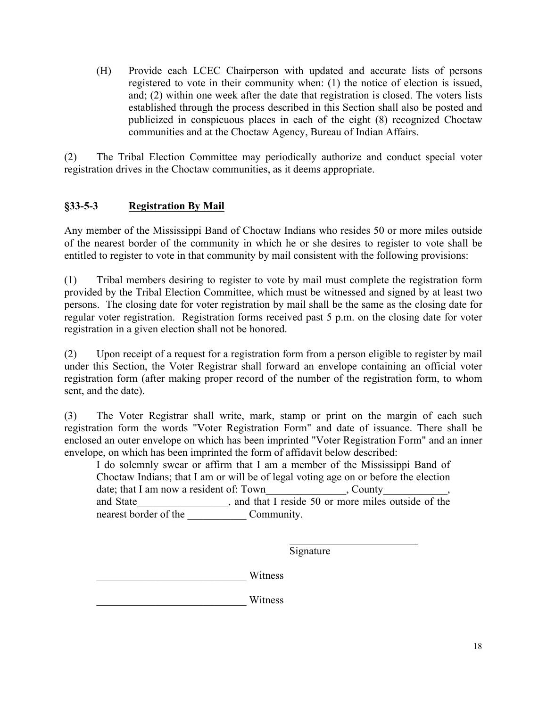(H) Provide each LCEC Chairperson with updated and accurate lists of persons registered to vote in their community when: (1) the notice of election is issued, and; (2) within one week after the date that registration is closed. The voters lists established through the process described in this Section shall also be posted and publicized in conspicuous places in each of the eight (8) recognized Choctaw communities and at the Choctaw Agency, Bureau of Indian Affairs.

(2) The Tribal Election Committee may periodically authorize and conduct special voter registration drives in the Choctaw communities, as it deems appropriate.

## **§33-5-3 Registration By Mail**

Any member of the Mississippi Band of Choctaw Indians who resides 50 or more miles outside of the nearest border of the community in which he or she desires to register to vote shall be entitled to register to vote in that community by mail consistent with the following provisions:

(1) Tribal members desiring to register to vote by mail must complete the registration form provided by the Tribal Election Committee, which must be witnessed and signed by at least two persons. The closing date for voter registration by mail shall be the same as the closing date for regular voter registration. Registration forms received past 5 p.m. on the closing date for voter registration in a given election shall not be honored.

(2) Upon receipt of a request for a registration form from a person eligible to register by mail under this Section, the Voter Registrar shall forward an envelope containing an official voter registration form (after making proper record of the number of the registration form, to whom sent, and the date).

(3) The Voter Registrar shall write, mark, stamp or print on the margin of each such registration form the words "Voter Registration Form" and date of issuance. There shall be enclosed an outer envelope on which has been imprinted "Voter Registration Form" and an inner envelope, on which has been imprinted the form of affidavit below described:

I do solemnly swear or affirm that I am a member of the Mississippi Band of Choctaw Indians; that I am or will be of legal voting age on or before the election date; that I am now a resident of: Town\_\_\_\_\_\_\_\_\_\_\_\_\_\_\_, County\_\_\_\_\_\_\_\_\_\_\_\_, and State \_\_\_\_\_\_\_\_\_\_\_\_\_\_, and that I reside 50 or more miles outside of the nearest border of the Community.

Signature

\_\_\_\_\_\_\_\_\_\_\_\_\_\_\_\_\_\_\_\_\_\_\_\_\_\_\_\_ Witness

\_\_\_\_\_\_\_\_\_\_\_\_\_\_\_\_\_\_\_\_\_\_\_\_\_\_\_\_ Witness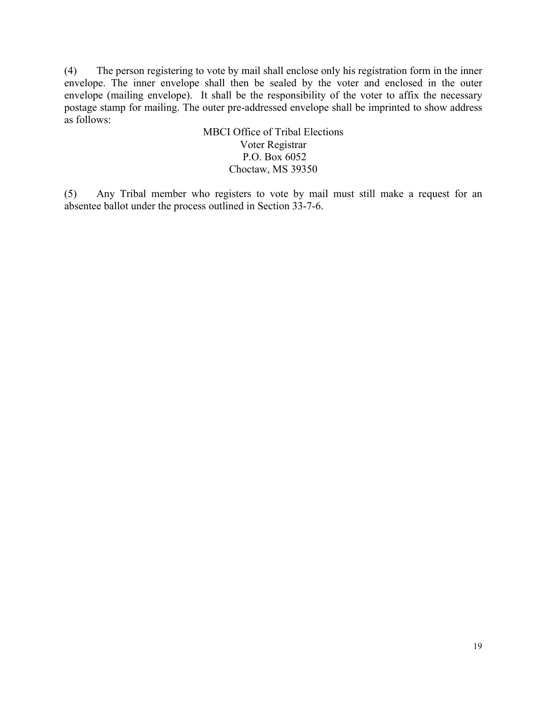(4) The person registering to vote by mail shall enclose only his registration form in the inner envelope. The inner envelope shall then be sealed by the voter and enclosed in the outer envelope (mailing envelope). It shall be the responsibility of the voter to affix the necessary postage stamp for mailing. The outer pre-addressed envelope shall be imprinted to show address as follows:

#### MBCI Office of Tribal Elections Voter Registrar P.O. Box 6052 Choctaw, MS 39350

(5) Any Tribal member who registers to vote by mail must still make a request for an absentee ballot under the process outlined in Section 33-7-6.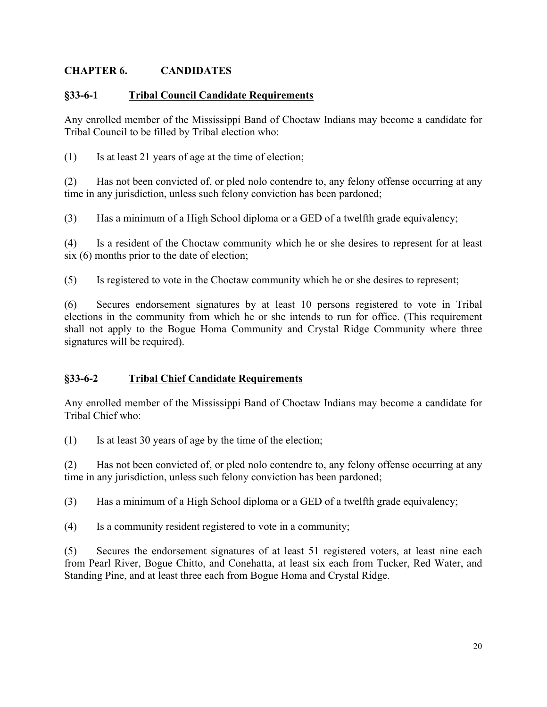### **CHAPTER 6. CANDIDATES**

#### **§33-6-1 Tribal Council Candidate Requirements**

Any enrolled member of the Mississippi Band of Choctaw Indians may become a candidate for Tribal Council to be filled by Tribal election who:

(1) Is at least 21 years of age at the time of election;

(2) Has not been convicted of, or pled nolo contendre to, any felony offense occurring at any time in any jurisdiction, unless such felony conviction has been pardoned;

(3) Has a minimum of a High School diploma or a GED of a twelfth grade equivalency;

(4) Is a resident of the Choctaw community which he or she desires to represent for at least six (6) months prior to the date of election;

(5) Is registered to vote in the Choctaw community which he or she desires to represent;

(6) Secures endorsement signatures by at least 10 persons registered to vote in Tribal elections in the community from which he or she intends to run for office. (This requirement shall not apply to the Bogue Homa Community and Crystal Ridge Community where three signatures will be required).

### **§33-6-2 Tribal Chief Candidate Requirements**

Any enrolled member of the Mississippi Band of Choctaw Indians may become a candidate for Tribal Chief who:

(1) Is at least 30 years of age by the time of the election;

(2) Has not been convicted of, or pled nolo contendre to, any felony offense occurring at any time in any jurisdiction, unless such felony conviction has been pardoned;

(3) Has a minimum of a High School diploma or a GED of a twelfth grade equivalency;

(4) Is a community resident registered to vote in a community;

(5) Secures the endorsement signatures of at least 51 registered voters, at least nine each from Pearl River, Bogue Chitto, and Conehatta, at least six each from Tucker, Red Water, and Standing Pine, and at least three each from Bogue Homa and Crystal Ridge.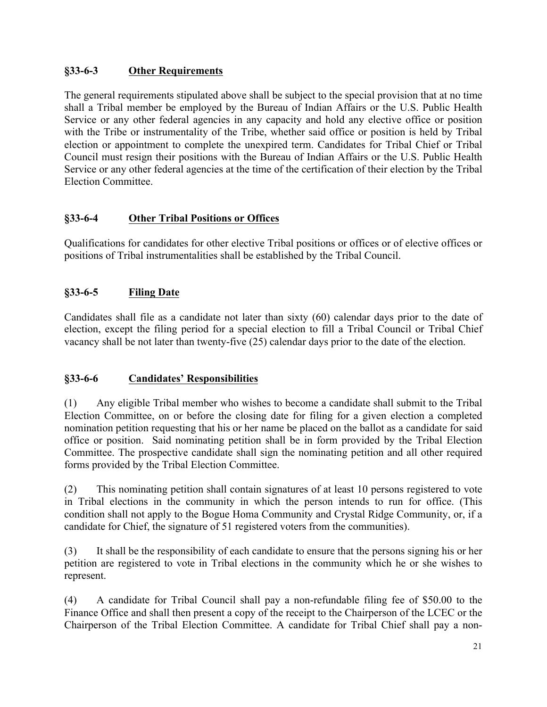## **§33-6-3 Other Requirements**

The general requirements stipulated above shall be subject to the special provision that at no time shall a Tribal member be employed by the Bureau of Indian Affairs or the U.S. Public Health Service or any other federal agencies in any capacity and hold any elective office or position with the Tribe or instrumentality of the Tribe, whether said office or position is held by Tribal election or appointment to complete the unexpired term. Candidates for Tribal Chief or Tribal Council must resign their positions with the Bureau of Indian Affairs or the U.S. Public Health Service or any other federal agencies at the time of the certification of their election by the Tribal Election Committee.

## **§33-6-4 Other Tribal Positions or Offices**

Qualifications for candidates for other elective Tribal positions or offices or of elective offices or positions of Tribal instrumentalities shall be established by the Tribal Council.

# **§33-6-5 Filing Date**

Candidates shall file as a candidate not later than sixty (60) calendar days prior to the date of election, except the filing period for a special election to fill a Tribal Council or Tribal Chief vacancy shall be not later than twenty-five (25) calendar days prior to the date of the election.

## **§33-6-6 Candidates' Responsibilities**

(1) Any eligible Tribal member who wishes to become a candidate shall submit to the Tribal Election Committee, on or before the closing date for filing for a given election a completed nomination petition requesting that his or her name be placed on the ballot as a candidate for said office or position. Said nominating petition shall be in form provided by the Tribal Election Committee. The prospective candidate shall sign the nominating petition and all other required forms provided by the Tribal Election Committee.

(2) This nominating petition shall contain signatures of at least 10 persons registered to vote in Tribal elections in the community in which the person intends to run for office. (This condition shall not apply to the Bogue Homa Community and Crystal Ridge Community, or, if a candidate for Chief, the signature of 51 registered voters from the communities).

(3) It shall be the responsibility of each candidate to ensure that the persons signing his or her petition are registered to vote in Tribal elections in the community which he or she wishes to represent.

(4) A candidate for Tribal Council shall pay a non-refundable filing fee of \$50.00 to the Finance Office and shall then present a copy of the receipt to the Chairperson of the LCEC or the Chairperson of the Tribal Election Committee. A candidate for Tribal Chief shall pay a non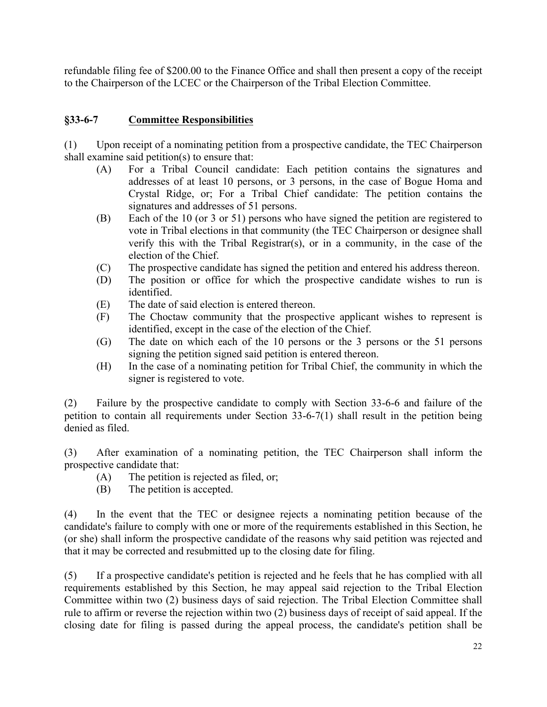refundable filing fee of \$200.00 to the Finance Office and shall then present a copy of the receipt to the Chairperson of the LCEC or the Chairperson of the Tribal Election Committee.

#### **§33-6-7 Committee Responsibilities**

(1) Upon receipt of a nominating petition from a prospective candidate, the TEC Chairperson shall examine said petition(s) to ensure that:

- (A) For a Tribal Council candidate: Each petition contains the signatures and addresses of at least 10 persons, or 3 persons, in the case of Bogue Homa and Crystal Ridge, or; For a Tribal Chief candidate: The petition contains the signatures and addresses of 51 persons.
- (B) Each of the 10 (or 3 or 51) persons who have signed the petition are registered to vote in Tribal elections in that community (the TEC Chairperson or designee shall verify this with the Tribal Registrar(s), or in a community, in the case of the election of the Chief.
- (C) The prospective candidate has signed the petition and entered his address thereon.
- (D) The position or office for which the prospective candidate wishes to run is identified.
- (E) The date of said election is entered thereon.
- (F) The Choctaw community that the prospective applicant wishes to represent is identified, except in the case of the election of the Chief.
- (G) The date on which each of the 10 persons or the 3 persons or the 51 persons signing the petition signed said petition is entered thereon.
- (H) In the case of a nominating petition for Tribal Chief, the community in which the signer is registered to vote.

(2) Failure by the prospective candidate to comply with Section 33-6-6 and failure of the petition to contain all requirements under Section 33-6-7(1) shall result in the petition being denied as filed.

(3) After examination of a nominating petition, the TEC Chairperson shall inform the prospective candidate that:

- (A) The petition is rejected as filed, or;
- (B) The petition is accepted.

(4) In the event that the TEC or designee rejects a nominating petition because of the candidate's failure to comply with one or more of the requirements established in this Section, he (or she) shall inform the prospective candidate of the reasons why said petition was rejected and that it may be corrected and resubmitted up to the closing date for filing.

(5) If a prospective candidate's petition is rejected and he feels that he has complied with all requirements established by this Section, he may appeal said rejection to the Tribal Election Committee within two (2) business days of said rejection. The Tribal Election Committee shall rule to affirm or reverse the rejection within two (2) business days of receipt of said appeal. If the closing date for filing is passed during the appeal process, the candidate's petition shall be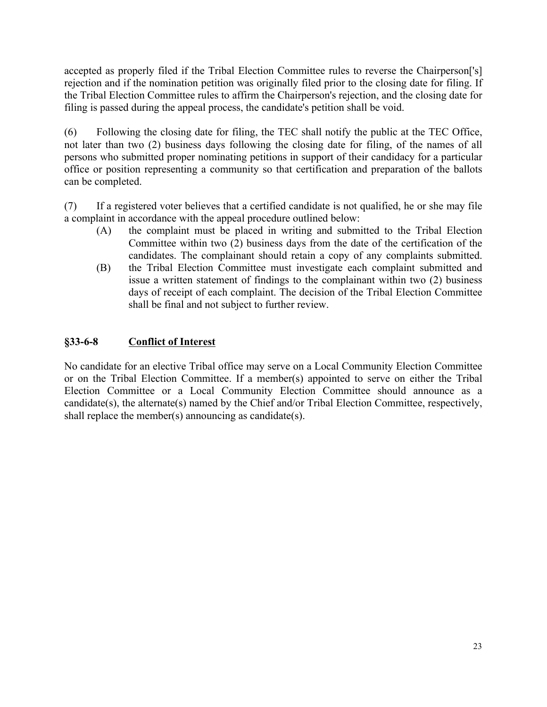accepted as properly filed if the Tribal Election Committee rules to reverse the Chairperson['s] rejection and if the nomination petition was originally filed prior to the closing date for filing. If the Tribal Election Committee rules to affirm the Chairperson's rejection, and the closing date for filing is passed during the appeal process, the candidate's petition shall be void.

(6) Following the closing date for filing, the TEC shall notify the public at the TEC Office, not later than two (2) business days following the closing date for filing, of the names of all persons who submitted proper nominating petitions in support of their candidacy for a particular office or position representing a community so that certification and preparation of the ballots can be completed.

(7) If a registered voter believes that a certified candidate is not qualified, he or she may file a complaint in accordance with the appeal procedure outlined below:

- (A) the complaint must be placed in writing and submitted to the Tribal Election Committee within two (2) business days from the date of the certification of the candidates. The complainant should retain a copy of any complaints submitted.
- (B) the Tribal Election Committee must investigate each complaint submitted and issue a written statement of findings to the complainant within two (2) business days of receipt of each complaint. The decision of the Tribal Election Committee shall be final and not subject to further review.

## **§33-6-8 Conflict of Interest**

No candidate for an elective Tribal office may serve on a Local Community Election Committee or on the Tribal Election Committee. If a member(s) appointed to serve on either the Tribal Election Committee or a Local Community Election Committee should announce as a candidate(s), the alternate(s) named by the Chief and/or Tribal Election Committee, respectively, shall replace the member(s) announcing as candidate(s).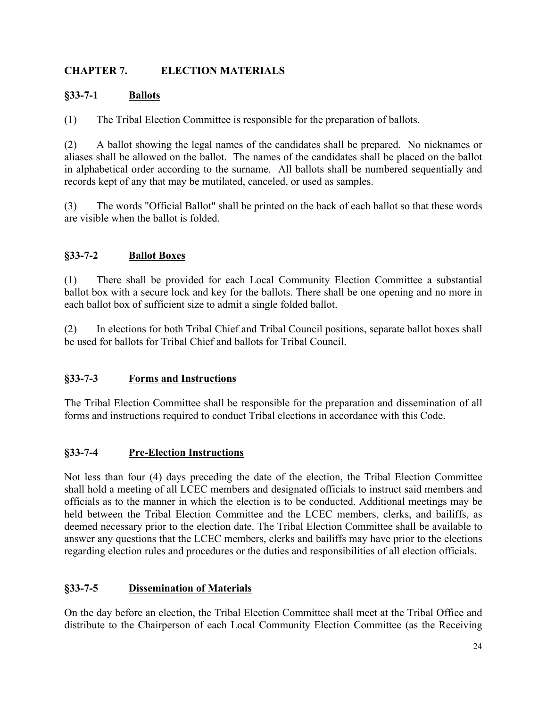## **CHAPTER 7. ELECTION MATERIALS**

### **§33-7-1 Ballots**

(1) The Tribal Election Committee is responsible for the preparation of ballots.

(2) A ballot showing the legal names of the candidates shall be prepared. No nicknames or aliases shall be allowed on the ballot. The names of the candidates shall be placed on the ballot in alphabetical order according to the surname. All ballots shall be numbered sequentially and records kept of any that may be mutilated, canceled, or used as samples.

(3) The words "Official Ballot" shall be printed on the back of each ballot so that these words are visible when the ballot is folded.

## **§33-7-2 Ballot Boxes**

(1) There shall be provided for each Local Community Election Committee a substantial ballot box with a secure lock and key for the ballots. There shall be one opening and no more in each ballot box of sufficient size to admit a single folded ballot.

(2) In elections for both Tribal Chief and Tribal Council positions, separate ballot boxes shall be used for ballots for Tribal Chief and ballots for Tribal Council.

#### **§33-7-3 Forms and Instructions**

The Tribal Election Committee shall be responsible for the preparation and dissemination of all forms and instructions required to conduct Tribal elections in accordance with this Code.

#### **§33-7-4 Pre-Election Instructions**

Not less than four (4) days preceding the date of the election, the Tribal Election Committee shall hold a meeting of all LCEC members and designated officials to instruct said members and officials as to the manner in which the election is to be conducted. Additional meetings may be held between the Tribal Election Committee and the LCEC members, clerks, and bailiffs, as deemed necessary prior to the election date. The Tribal Election Committee shall be available to answer any questions that the LCEC members, clerks and bailiffs may have prior to the elections regarding election rules and procedures or the duties and responsibilities of all election officials.

## **§33-7-5 Dissemination of Materials**

On the day before an election, the Tribal Election Committee shall meet at the Tribal Office and distribute to the Chairperson of each Local Community Election Committee (as the Receiving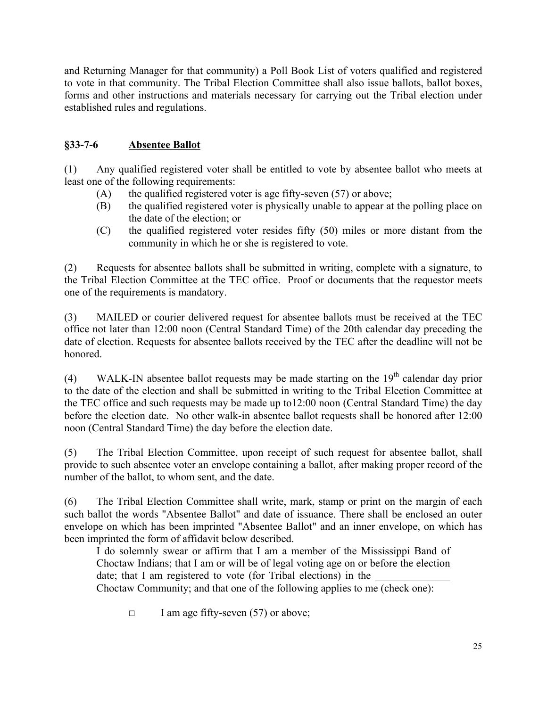and Returning Manager for that community) a Poll Book List of voters qualified and registered to vote in that community. The Tribal Election Committee shall also issue ballots, ballot boxes, forms and other instructions and materials necessary for carrying out the Tribal election under established rules and regulations.

## **§33-7-6 Absentee Ballot**

(1) Any qualified registered voter shall be entitled to vote by absentee ballot who meets at least one of the following requirements:

- $(A)$  the qualified registered voter is age fifty-seven (57) or above;
- (B) the qualified registered voter is physically unable to appear at the polling place on the date of the election; or
- (C) the qualified registered voter resides fifty (50) miles or more distant from the community in which he or she is registered to vote.

(2) Requests for absentee ballots shall be submitted in writing, complete with a signature, to the Tribal Election Committee at the TEC office. Proof or documents that the requestor meets one of the requirements is mandatory.

(3) MAILED or courier delivered request for absentee ballots must be received at the TEC office not later than 12:00 noon (Central Standard Time) of the 20th calendar day preceding the date of election. Requests for absentee ballots received by the TEC after the deadline will not be honored.

(4) WALK-IN absentee ballot requests may be made starting on the  $19<sup>th</sup>$  calendar day prior to the date of the election and shall be submitted in writing to the Tribal Election Committee at the TEC office and such requests may be made up to12:00 noon (Central Standard Time) the day before the election date. No other walk-in absentee ballot requests shall be honored after 12:00 noon (Central Standard Time) the day before the election date.

(5) The Tribal Election Committee, upon receipt of such request for absentee ballot, shall provide to such absentee voter an envelope containing a ballot, after making proper record of the number of the ballot, to whom sent, and the date.

(6) The Tribal Election Committee shall write, mark, stamp or print on the margin of each such ballot the words "Absentee Ballot" and date of issuance. There shall be enclosed an outer envelope on which has been imprinted "Absentee Ballot" and an inner envelope, on which has been imprinted the form of affidavit below described.

I do solemnly swear or affirm that I am a member of the Mississippi Band of Choctaw Indians; that I am or will be of legal voting age on or before the election date; that I am registered to vote (for Tribal elections) in the Choctaw Community; and that one of the following applies to me (check one):

**☐** I am age fifty-seven (57) or above;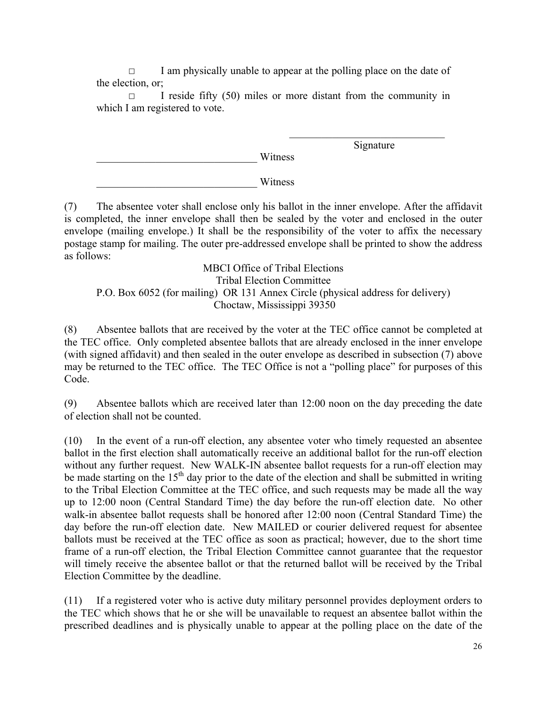**☐** I am physically unable to appear at the polling place on the date of the election, or;

**☐** I reside fifty (50) miles or more distant from the community in which I am registered to vote.

\_\_\_\_\_\_\_\_\_\_\_\_\_\_\_\_\_\_\_\_\_\_\_\_\_\_\_\_\_\_ Witness

 $\mathcal{L}_\text{max}$  , where  $\mathcal{L}_\text{max}$  , we have the set of  $\mathcal{L}_\text{max}$ Signature

\_\_\_\_\_\_\_\_\_\_\_\_\_\_\_\_\_\_\_\_\_\_\_\_\_\_\_\_\_\_ Witness

(7) The absentee voter shall enclose only his ballot in the inner envelope. After the affidavit is completed, the inner envelope shall then be sealed by the voter and enclosed in the outer envelope (mailing envelope.) It shall be the responsibility of the voter to affix the necessary postage stamp for mailing. The outer pre-addressed envelope shall be printed to show the address as follows:

MBCI Office of Tribal Elections Tribal Election Committee P.O. Box 6052 (for mailing) OR 131 Annex Circle (physical address for delivery) Choctaw, Mississippi 39350

(8) Absentee ballots that are received by the voter at the TEC office cannot be completed at the TEC office. Only completed absentee ballots that are already enclosed in the inner envelope (with signed affidavit) and then sealed in the outer envelope as described in subsection (7) above may be returned to the TEC office. The TEC Office is not a "polling place" for purposes of this Code.

(9) Absentee ballots which are received later than 12:00 noon on the day preceding the date of election shall not be counted.

(10) In the event of a run-off election, any absentee voter who timely requested an absentee ballot in the first election shall automatically receive an additional ballot for the run-off election without any further request. New WALK-IN absentee ballot requests for a run-off election may be made starting on the  $15<sup>th</sup>$  day prior to the date of the election and shall be submitted in writing to the Tribal Election Committee at the TEC office, and such requests may be made all the way up to 12:00 noon (Central Standard Time) the day before the run-off election date. No other walk-in absentee ballot requests shall be honored after 12:00 noon (Central Standard Time) the day before the run-off election date. New MAILED or courier delivered request for absentee ballots must be received at the TEC office as soon as practical; however, due to the short time frame of a run-off election, the Tribal Election Committee cannot guarantee that the requestor will timely receive the absentee ballot or that the returned ballot will be received by the Tribal Election Committee by the deadline.

(11) If a registered voter who is active duty military personnel provides deployment orders to the TEC which shows that he or she will be unavailable to request an absentee ballot within the prescribed deadlines and is physically unable to appear at the polling place on the date of the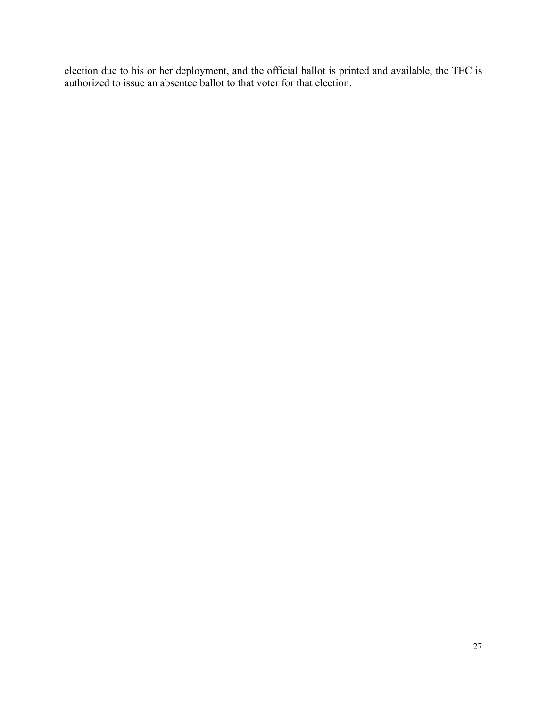election due to his or her deployment, and the official ballot is printed and available, the TEC is authorized to issue an absentee ballot to that voter for that election.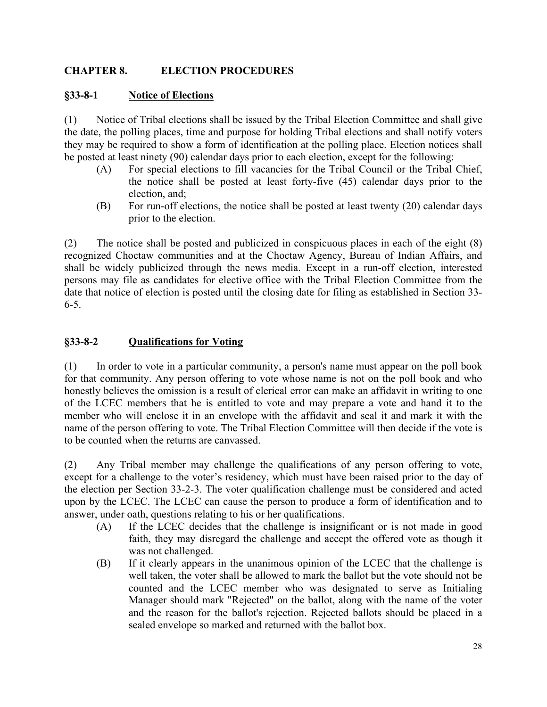### **CHAPTER 8. ELECTION PROCEDURES**

#### **§33-8-1 Notice of Elections**

(1) Notice of Tribal elections shall be issued by the Tribal Election Committee and shall give the date, the polling places, time and purpose for holding Tribal elections and shall notify voters they may be required to show a form of identification at the polling place. Election notices shall be posted at least ninety (90) calendar days prior to each election, except for the following:

- (A) For special elections to fill vacancies for the Tribal Council or the Tribal Chief, the notice shall be posted at least forty-five (45) calendar days prior to the election, and;
- (B) For run-off elections, the notice shall be posted at least twenty (20) calendar days prior to the election.

(2) The notice shall be posted and publicized in conspicuous places in each of the eight (8) recognized Choctaw communities and at the Choctaw Agency, Bureau of Indian Affairs, and shall be widely publicized through the news media. Except in a run-off election, interested persons may file as candidates for elective office with the Tribal Election Committee from the date that notice of election is posted until the closing date for filing as established in Section 33- 6-5.

#### **§33-8-2 Qualifications for Voting**

(1) In order to vote in a particular community, a person's name must appear on the poll book for that community. Any person offering to vote whose name is not on the poll book and who honestly believes the omission is a result of clerical error can make an affidavit in writing to one of the LCEC members that he is entitled to vote and may prepare a vote and hand it to the member who will enclose it in an envelope with the affidavit and seal it and mark it with the name of the person offering to vote. The Tribal Election Committee will then decide if the vote is to be counted when the returns are canvassed.

(2) Any Tribal member may challenge the qualifications of any person offering to vote, except for a challenge to the voter's residency, which must have been raised prior to the day of the election per Section 33-2-3. The voter qualification challenge must be considered and acted upon by the LCEC. The LCEC can cause the person to produce a form of identification and to answer, under oath, questions relating to his or her qualifications.

- (A) If the LCEC decides that the challenge is insignificant or is not made in good faith, they may disregard the challenge and accept the offered vote as though it was not challenged.
- (B) If it clearly appears in the unanimous opinion of the LCEC that the challenge is well taken, the voter shall be allowed to mark the ballot but the vote should not be counted and the LCEC member who was designated to serve as Initialing Manager should mark "Rejected" on the ballot, along with the name of the voter and the reason for the ballot's rejection. Rejected ballots should be placed in a sealed envelope so marked and returned with the ballot box.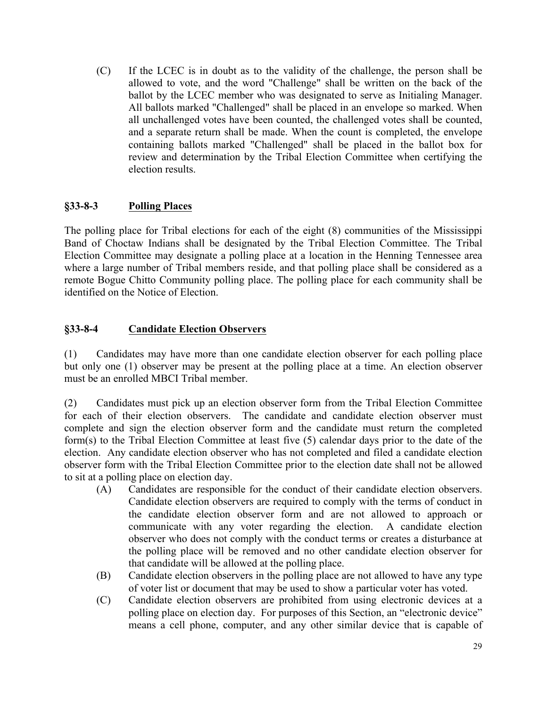(C) If the LCEC is in doubt as to the validity of the challenge, the person shall be allowed to vote, and the word "Challenge" shall be written on the back of the ballot by the LCEC member who was designated to serve as Initialing Manager. All ballots marked "Challenged" shall be placed in an envelope so marked. When all unchallenged votes have been counted, the challenged votes shall be counted, and a separate return shall be made. When the count is completed, the envelope containing ballots marked "Challenged" shall be placed in the ballot box for review and determination by the Tribal Election Committee when certifying the election results.

### **§33-8-3 Polling Places**

The polling place for Tribal elections for each of the eight (8) communities of the Mississippi Band of Choctaw Indians shall be designated by the Tribal Election Committee. The Tribal Election Committee may designate a polling place at a location in the Henning Tennessee area where a large number of Tribal members reside, and that polling place shall be considered as a remote Bogue Chitto Community polling place. The polling place for each community shall be identified on the Notice of Election.

### **§33-8-4 Candidate Election Observers**

(1) Candidates may have more than one candidate election observer for each polling place but only one (1) observer may be present at the polling place at a time. An election observer must be an enrolled MBCI Tribal member.

(2) Candidates must pick up an election observer form from the Tribal Election Committee for each of their election observers. The candidate and candidate election observer must complete and sign the election observer form and the candidate must return the completed form(s) to the Tribal Election Committee at least five (5) calendar days prior to the date of the election. Any candidate election observer who has not completed and filed a candidate election observer form with the Tribal Election Committee prior to the election date shall not be allowed to sit at a polling place on election day.

- (A) Candidates are responsible for the conduct of their candidate election observers. Candidate election observers are required to comply with the terms of conduct in the candidate election observer form and are not allowed to approach or communicate with any voter regarding the election. A candidate election observer who does not comply with the conduct terms or creates a disturbance at the polling place will be removed and no other candidate election observer for that candidate will be allowed at the polling place.
- (B) Candidate election observers in the polling place are not allowed to have any type of voter list or document that may be used to show a particular voter has voted.
- (C) Candidate election observers are prohibited from using electronic devices at a polling place on election day. For purposes of this Section, an "electronic device" means a cell phone, computer, and any other similar device that is capable of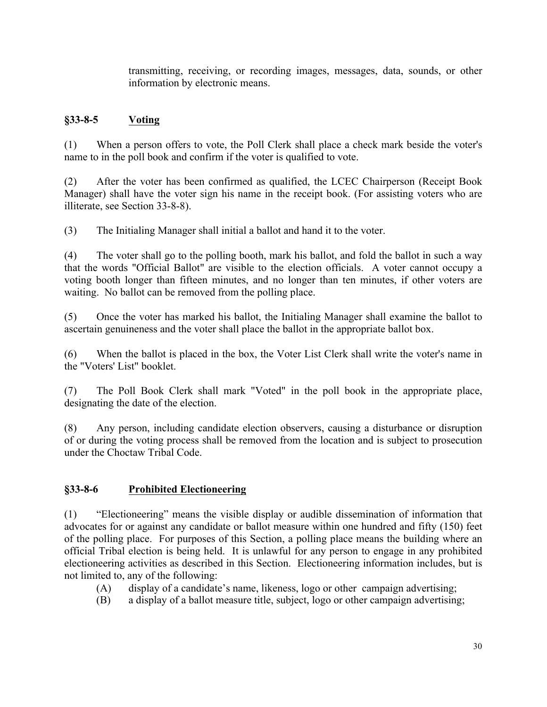transmitting, receiving, or recording images, messages, data, sounds, or other information by electronic means.

## **§33-8-5 Voting**

(1) When a person offers to vote, the Poll Clerk shall place a check mark beside the voter's name to in the poll book and confirm if the voter is qualified to vote.

(2) After the voter has been confirmed as qualified, the LCEC Chairperson (Receipt Book Manager) shall have the voter sign his name in the receipt book. (For assisting voters who are illiterate, see Section 33-8-8).

(3) The Initialing Manager shall initial a ballot and hand it to the voter.

(4) The voter shall go to the polling booth, mark his ballot, and fold the ballot in such a way that the words "Official Ballot" are visible to the election officials. A voter cannot occupy a voting booth longer than fifteen minutes, and no longer than ten minutes, if other voters are waiting. No ballot can be removed from the polling place.

(5) Once the voter has marked his ballot, the Initialing Manager shall examine the ballot to ascertain genuineness and the voter shall place the ballot in the appropriate ballot box.

(6) When the ballot is placed in the box, the Voter List Clerk shall write the voter's name in the "Voters' List" booklet.

(7) The Poll Book Clerk shall mark "Voted" in the poll book in the appropriate place, designating the date of the election.

(8) Any person, including candidate election observers, causing a disturbance or disruption of or during the voting process shall be removed from the location and is subject to prosecution under the Choctaw Tribal Code.

#### **§33-8-6 Prohibited Electioneering**

(1) "Electioneering" means the visible display or audible dissemination of information that advocates for or against any candidate or ballot measure within one hundred and fifty (150) feet of the polling place. For purposes of this Section, a polling place means the building where an official Tribal election is being held. It is unlawful for any person to engage in any prohibited electioneering activities as described in this Section. Electioneering information includes, but is not limited to, any of the following:

- (A) display of a candidate's name, likeness, logo or other campaign advertising;
- (B) a display of a ballot measure title, subject, logo or other campaign advertising;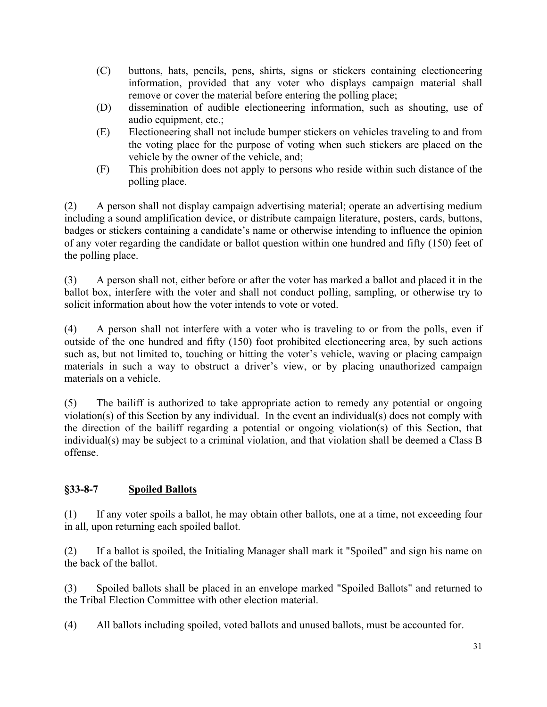- (C) buttons, hats, pencils, pens, shirts, signs or stickers containing electioneering information, provided that any voter who displays campaign material shall remove or cover the material before entering the polling place;
- (D) dissemination of audible electioneering information, such as shouting, use of audio equipment, etc.;
- (E) Electioneering shall not include bumper stickers on vehicles traveling to and from the voting place for the purpose of voting when such stickers are placed on the vehicle by the owner of the vehicle, and;
- (F) This prohibition does not apply to persons who reside within such distance of the polling place.

(2) A person shall not display campaign advertising material; operate an advertising medium including a sound amplification device, or distribute campaign literature, posters, cards, buttons, badges or stickers containing a candidate's name or otherwise intending to influence the opinion of any voter regarding the candidate or ballot question within one hundred and fifty (150) feet of the polling place.

(3) A person shall not, either before or after the voter has marked a ballot and placed it in the ballot box, interfere with the voter and shall not conduct polling, sampling, or otherwise try to solicit information about how the voter intends to vote or voted.

(4) A person shall not interfere with a voter who is traveling to or from the polls, even if outside of the one hundred and fifty (150) foot prohibited electioneering area, by such actions such as, but not limited to, touching or hitting the voter's vehicle, waving or placing campaign materials in such a way to obstruct a driver's view, or by placing unauthorized campaign materials on a vehicle.

(5) The bailiff is authorized to take appropriate action to remedy any potential or ongoing violation(s) of this Section by any individual. In the event an individual(s) does not comply with the direction of the bailiff regarding a potential or ongoing violation(s) of this Section, that individual(s) may be subject to a criminal violation, and that violation shall be deemed a Class B offense.

# **§33-8-7 Spoiled Ballots**

(1) If any voter spoils a ballot, he may obtain other ballots, one at a time, not exceeding four in all, upon returning each spoiled ballot.

(2) If a ballot is spoiled, the Initialing Manager shall mark it "Spoiled" and sign his name on the back of the ballot.

(3) Spoiled ballots shall be placed in an envelope marked "Spoiled Ballots" and returned to the Tribal Election Committee with other election material.

(4) All ballots including spoiled, voted ballots and unused ballots, must be accounted for.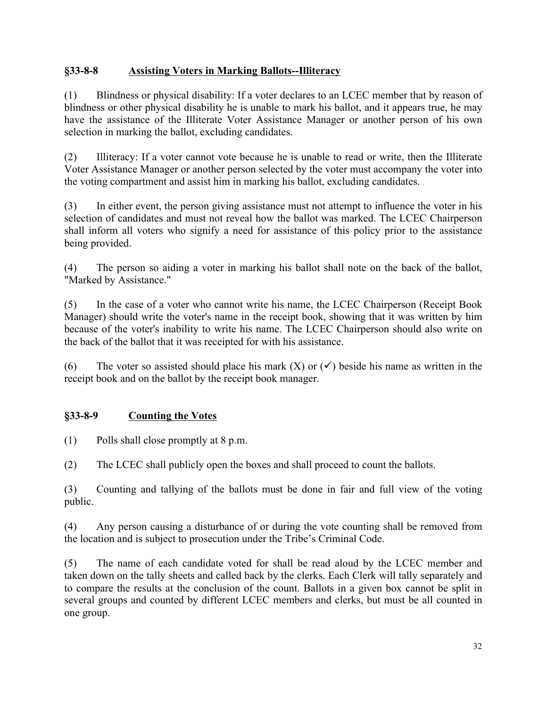### **§33-8-8 Assisting Voters in Marking Ballots--Illiteracy**

(1) Blindness or physical disability: If a voter declares to an LCEC member that by reason of blindness or other physical disability he is unable to mark his ballot, and it appears true, he may have the assistance of the Illiterate Voter Assistance Manager or another person of his own selection in marking the ballot, excluding candidates.

(2) Illiteracy: If a voter cannot vote because he is unable to read or write, then the Illiterate Voter Assistance Manager or another person selected by the voter must accompany the voter into the voting compartment and assist him in marking his ballot, excluding candidates.

(3) In either event, the person giving assistance must not attempt to influence the voter in his selection of candidates and must not reveal how the ballot was marked. The LCEC Chairperson shall inform all voters who signify a need for assistance of this policy prior to the assistance being provided.

(4) The person so aiding a voter in marking his ballot shall note on the back of the ballot, "Marked by Assistance."

(5) In the case of a voter who cannot write his name, the LCEC Chairperson (Receipt Book Manager) should write the voter's name in the receipt book, showing that it was written by him because of the voter's inability to write his name. The LCEC Chairperson should also write on the back of the ballot that it was receipted for with his assistance.

(6) The voter so assisted should place his mark  $(X)$  or  $(\checkmark)$  beside his name as written in the receipt book and on the ballot by the receipt book manager.

## **§33-8-9 Counting the Votes**

(1) Polls shall close promptly at 8 p.m.

(2) The LCEC shall publicly open the boxes and shall proceed to count the ballots.

(3) Counting and tallying of the ballots must be done in fair and full view of the voting public.

(4) Any person causing a disturbance of or during the vote counting shall be removed from the location and is subject to prosecution under the Tribe's Criminal Code.

(5) The name of each candidate voted for shall be read aloud by the LCEC member and taken down on the tally sheets and called back by the clerks. Each Clerk will tally separately and to compare the results at the conclusion of the count. Ballots in a given box cannot be split in several groups and counted by different LCEC members and clerks, but must be all counted in one group.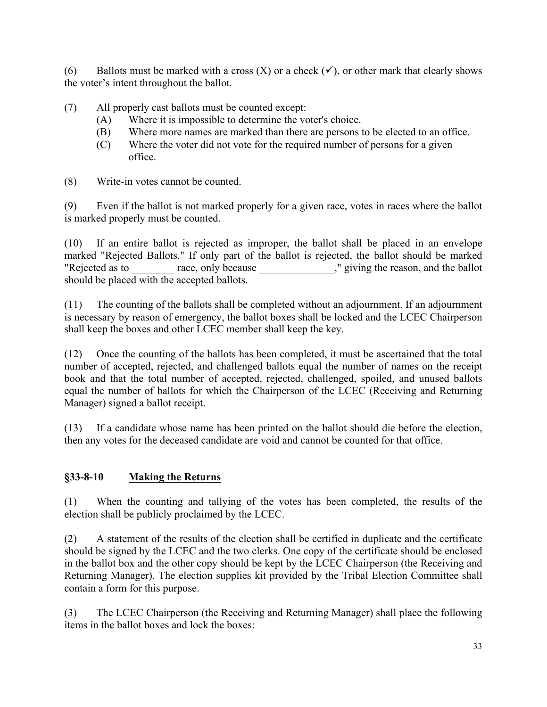(6) Ballots must be marked with a cross  $(X)$  or a check  $(\checkmark)$ , or other mark that clearly shows the voter's intent throughout the ballot.

(7) All properly cast ballots must be counted except:

- (A) Where it is impossible to determine the voter's choice.
- (B) Where more names are marked than there are persons to be elected to an office.
- (C) Where the voter did not vote for the required number of persons for a given office.
- (8) Write-in votes cannot be counted.

(9) Even if the ballot is not marked properly for a given race, votes in races where the ballot is marked properly must be counted.

(10) If an entire ballot is rejected as improper, the ballot shall be placed in an envelope marked "Rejected Ballots." If only part of the ballot is rejected, the ballot should be marked "Rejected as to race, only because which is not present, and the ballot should be placed with the accepted ballots.

(11) The counting of the ballots shall be completed without an adjournment. If an adjournment is necessary by reason of emergency, the ballot boxes shall be locked and the LCEC Chairperson shall keep the boxes and other LCEC member shall keep the key.

(12) Once the counting of the ballots has been completed, it must be ascertained that the total number of accepted, rejected, and challenged ballots equal the number of names on the receipt book and that the total number of accepted, rejected, challenged, spoiled, and unused ballots equal the number of ballots for which the Chairperson of the LCEC (Receiving and Returning Manager) signed a ballot receipt.

(13) If a candidate whose name has been printed on the ballot should die before the election, then any votes for the deceased candidate are void and cannot be counted for that office.

# **§33-8-10 Making the Returns**

(1) When the counting and tallying of the votes has been completed, the results of the election shall be publicly proclaimed by the LCEC.

(2) A statement of the results of the election shall be certified in duplicate and the certificate should be signed by the LCEC and the two clerks. One copy of the certificate should be enclosed in the ballot box and the other copy should be kept by the LCEC Chairperson (the Receiving and Returning Manager). The election supplies kit provided by the Tribal Election Committee shall contain a form for this purpose.

(3) The LCEC Chairperson (the Receiving and Returning Manager) shall place the following items in the ballot boxes and lock the boxes: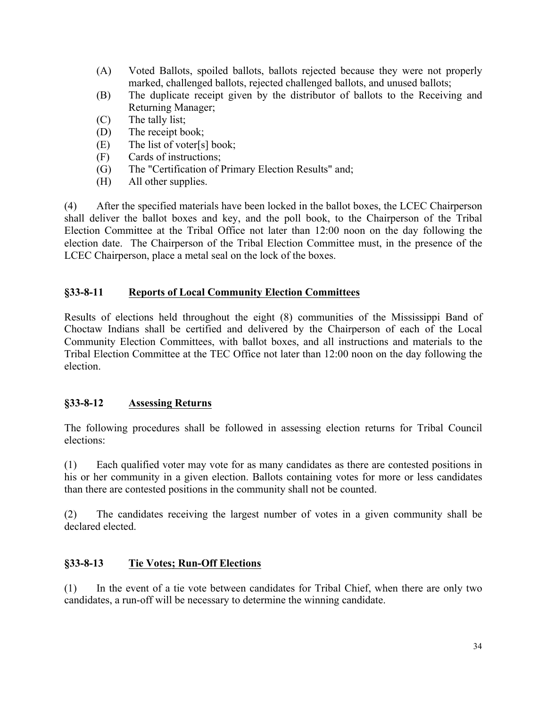- (A) Voted Ballots, spoiled ballots, ballots rejected because they were not properly marked, challenged ballots, rejected challenged ballots, and unused ballots;
- (B) The duplicate receipt given by the distributor of ballots to the Receiving and Returning Manager;
- (C) The tally list;
- (D) The receipt book;
- (E) The list of voter[s] book;
- (F) Cards of instructions;
- (G) The "Certification of Primary Election Results" and;
- (H) All other supplies.

(4) After the specified materials have been locked in the ballot boxes, the LCEC Chairperson shall deliver the ballot boxes and key, and the poll book, to the Chairperson of the Tribal Election Committee at the Tribal Office not later than 12:00 noon on the day following the election date. The Chairperson of the Tribal Election Committee must, in the presence of the LCEC Chairperson, place a metal seal on the lock of the boxes.

### **§33-8-11 Reports of Local Community Election Committees**

Results of elections held throughout the eight (8) communities of the Mississippi Band of Choctaw Indians shall be certified and delivered by the Chairperson of each of the Local Community Election Committees, with ballot boxes, and all instructions and materials to the Tribal Election Committee at the TEC Office not later than 12:00 noon on the day following the election.

## **§33-8-12 Assessing Returns**

The following procedures shall be followed in assessing election returns for Tribal Council elections:

(1) Each qualified voter may vote for as many candidates as there are contested positions in his or her community in a given election. Ballots containing votes for more or less candidates than there are contested positions in the community shall not be counted.

(2) The candidates receiving the largest number of votes in a given community shall be declared elected.

#### **§33-8-13 Tie Votes; Run-Off Elections**

(1) In the event of a tie vote between candidates for Tribal Chief, when there are only two candidates, a run-off will be necessary to determine the winning candidate.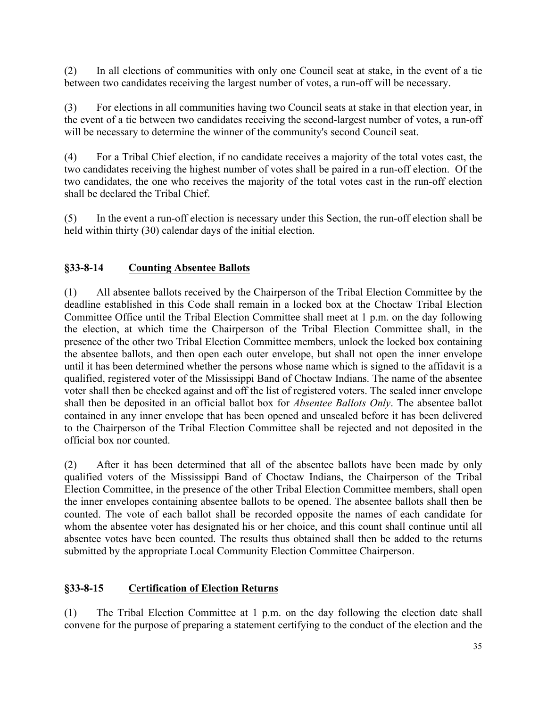(2) In all elections of communities with only one Council seat at stake, in the event of a tie between two candidates receiving the largest number of votes, a run-off will be necessary.

(3) For elections in all communities having two Council seats at stake in that election year, in the event of a tie between two candidates receiving the second-largest number of votes, a run-off will be necessary to determine the winner of the community's second Council seat.

(4) For a Tribal Chief election, if no candidate receives a majority of the total votes cast, the two candidates receiving the highest number of votes shall be paired in a run-off election. Of the two candidates, the one who receives the majority of the total votes cast in the run-off election shall be declared the Tribal Chief.

(5) In the event a run-off election is necessary under this Section, the run-off election shall be held within thirty (30) calendar days of the initial election.

### **§33-8-14 Counting Absentee Ballots**

(1) All absentee ballots received by the Chairperson of the Tribal Election Committee by the deadline established in this Code shall remain in a locked box at the Choctaw Tribal Election Committee Office until the Tribal Election Committee shall meet at 1 p.m. on the day following the election, at which time the Chairperson of the Tribal Election Committee shall, in the presence of the other two Tribal Election Committee members, unlock the locked box containing the absentee ballots, and then open each outer envelope, but shall not open the inner envelope until it has been determined whether the persons whose name which is signed to the affidavit is a qualified, registered voter of the Mississippi Band of Choctaw Indians. The name of the absentee voter shall then be checked against and off the list of registered voters. The sealed inner envelope shall then be deposited in an official ballot box for *Absentee Ballots Only*. The absentee ballot contained in any inner envelope that has been opened and unsealed before it has been delivered to the Chairperson of the Tribal Election Committee shall be rejected and not deposited in the official box nor counted.

(2) After it has been determined that all of the absentee ballots have been made by only qualified voters of the Mississippi Band of Choctaw Indians, the Chairperson of the Tribal Election Committee, in the presence of the other Tribal Election Committee members, shall open the inner envelopes containing absentee ballots to be opened. The absentee ballots shall then be counted. The vote of each ballot shall be recorded opposite the names of each candidate for whom the absentee voter has designated his or her choice, and this count shall continue until all absentee votes have been counted. The results thus obtained shall then be added to the returns submitted by the appropriate Local Community Election Committee Chairperson.

#### **§33-8-15 Certification of Election Returns**

(1) The Tribal Election Committee at 1 p.m. on the day following the election date shall convene for the purpose of preparing a statement certifying to the conduct of the election and the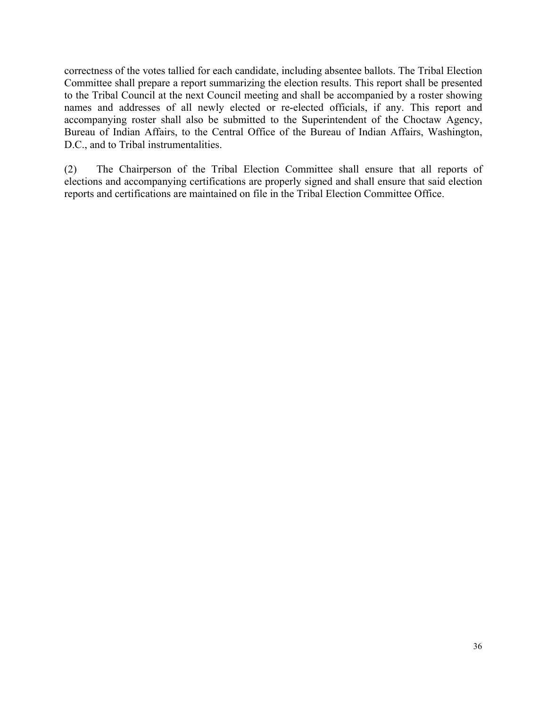correctness of the votes tallied for each candidate, including absentee ballots. The Tribal Election Committee shall prepare a report summarizing the election results. This report shall be presented to the Tribal Council at the next Council meeting and shall be accompanied by a roster showing names and addresses of all newly elected or re-elected officials, if any. This report and accompanying roster shall also be submitted to the Superintendent of the Choctaw Agency, Bureau of Indian Affairs, to the Central Office of the Bureau of Indian Affairs, Washington, D.C., and to Tribal instrumentalities.

(2) The Chairperson of the Tribal Election Committee shall ensure that all reports of elections and accompanying certifications are properly signed and shall ensure that said election reports and certifications are maintained on file in the Tribal Election Committee Office.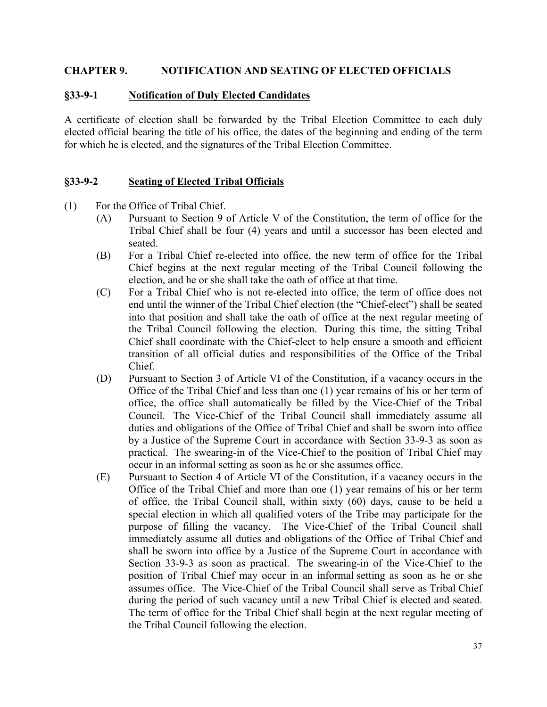#### **CHAPTER 9. NOTIFICATION AND SEATING OF ELECTED OFFICIALS**

#### **§33-9-1 Notification of Duly Elected Candidates**

A certificate of election shall be forwarded by the Tribal Election Committee to each duly elected official bearing the title of his office, the dates of the beginning and ending of the term for which he is elected, and the signatures of the Tribal Election Committee.

#### **§33-9-2 Seating of Elected Tribal Officials**

- (1) For the Office of Tribal Chief.
	- (A) Pursuant to Section 9 of Article V of the Constitution, the term of office for the Tribal Chief shall be four (4) years and until a successor has been elected and seated.
	- (B) For a Tribal Chief re-elected into office, the new term of office for the Tribal Chief begins at the next regular meeting of the Tribal Council following the election, and he or she shall take the oath of office at that time.
	- (C) For a Tribal Chief who is not re-elected into office, the term of office does not end until the winner of the Tribal Chief election (the "Chief-elect") shall be seated into that position and shall take the oath of office at the next regular meeting of the Tribal Council following the election. During this time, the sitting Tribal Chief shall coordinate with the Chief-elect to help ensure a smooth and efficient transition of all official duties and responsibilities of the Office of the Tribal Chief.
	- (D) Pursuant to Section 3 of Article VI of the Constitution, if a vacancy occurs in the Office of the Tribal Chief and less than one (1) year remains of his or her term of office, the office shall automatically be filled by the Vice-Chief of the Tribal Council. The Vice-Chief of the Tribal Council shall immediately assume all duties and obligations of the Office of Tribal Chief and shall be sworn into office by a Justice of the Supreme Court in accordance with Section 33-9-3 as soon as practical. The swearing-in of the Vice-Chief to the position of Tribal Chief may occur in an informal setting as soon as he or she assumes office.
	- (E) Pursuant to Section 4 of Article VI of the Constitution, if a vacancy occurs in the Office of the Tribal Chief and more than one (1) year remains of his or her term of office, the Tribal Council shall, within sixty (60) days, cause to be held a special election in which all qualified voters of the Tribe may participate for the purpose of filling the vacancy. The Vice-Chief of the Tribal Council shall immediately assume all duties and obligations of the Office of Tribal Chief and shall be sworn into office by a Justice of the Supreme Court in accordance with Section 33-9-3 as soon as practical. The swearing-in of the Vice-Chief to the position of Tribal Chief may occur in an informal setting as soon as he or she assumes office. The Vice-Chief of the Tribal Council shall serve as Tribal Chief during the period of such vacancy until a new Tribal Chief is elected and seated. The term of office for the Tribal Chief shall begin at the next regular meeting of the Tribal Council following the election.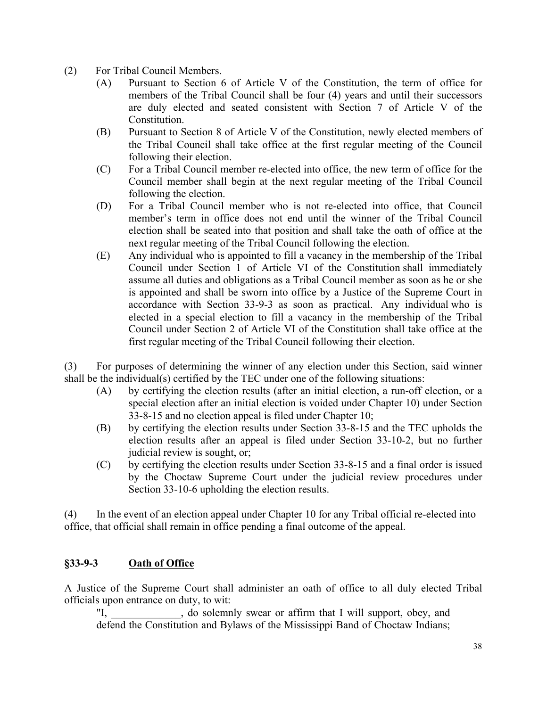- (2) For Tribal Council Members.
	- (A) Pursuant to Section 6 of Article V of the Constitution, the term of office for members of the Tribal Council shall be four (4) years and until their successors are duly elected and seated consistent with Section 7 of Article V of the Constitution.
	- (B) Pursuant to Section 8 of Article V of the Constitution, newly elected members of the Tribal Council shall take office at the first regular meeting of the Council following their election.
	- (C) For a Tribal Council member re-elected into office, the new term of office for the Council member shall begin at the next regular meeting of the Tribal Council following the election.
	- (D) For a Tribal Council member who is not re-elected into office, that Council member's term in office does not end until the winner of the Tribal Council election shall be seated into that position and shall take the oath of office at the next regular meeting of the Tribal Council following the election.
	- (E) Any individual who is appointed to fill a vacancy in the membership of the Tribal Council under Section 1 of Article VI of the Constitution shall immediately assume all duties and obligations as a Tribal Council member as soon as he or she is appointed and shall be sworn into office by a Justice of the Supreme Court in accordance with Section 33-9-3 as soon as practical. Any individual who is elected in a special election to fill a vacancy in the membership of the Tribal Council under Section 2 of Article VI of the Constitution shall take office at the first regular meeting of the Tribal Council following their election.

(3) For purposes of determining the winner of any election under this Section, said winner shall be the individual(s) certified by the TEC under one of the following situations:

- (A) by certifying the election results (after an initial election, a run-off election, or a special election after an initial election is voided under Chapter 10) under Section 33-8-15 and no election appeal is filed under Chapter 10;
- (B) by certifying the election results under Section 33-8-15 and the TEC upholds the election results after an appeal is filed under Section 33-10-2, but no further judicial review is sought, or;
- (C) by certifying the election results under Section 33-8-15 and a final order is issued by the Choctaw Supreme Court under the judicial review procedures under Section 33-10-6 upholding the election results.

(4) In the event of an election appeal under Chapter 10 for any Tribal official re-elected into office, that official shall remain in office pending a final outcome of the appeal.

#### **§33-9-3 Oath of Office**

A Justice of the Supreme Court shall administer an oath of office to all duly elected Tribal officials upon entrance on duty, to wit:

"I, do solemnly swear or affirm that I will support, obey, and defend the Constitution and Bylaws of the Mississippi Band of Choctaw Indians;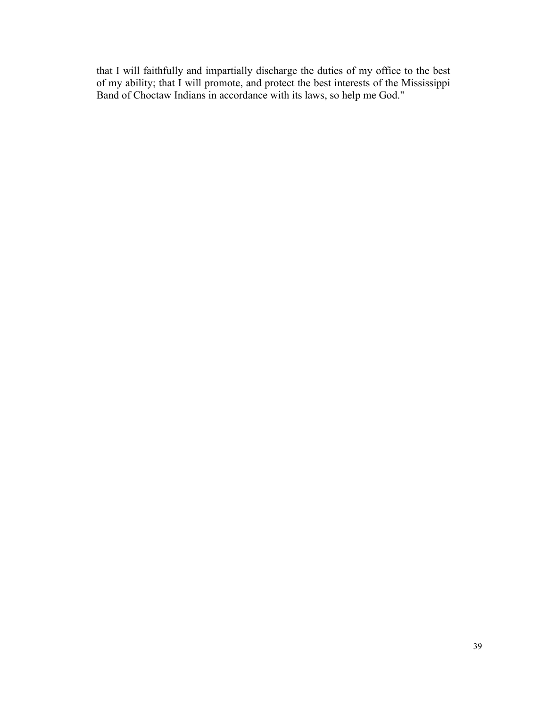that I will faithfully and impartially discharge the duties of my office to the best of my ability; that I will promote, and protect the best interests of the Mississippi Band of Choctaw Indians in accordance with its laws, so help me God."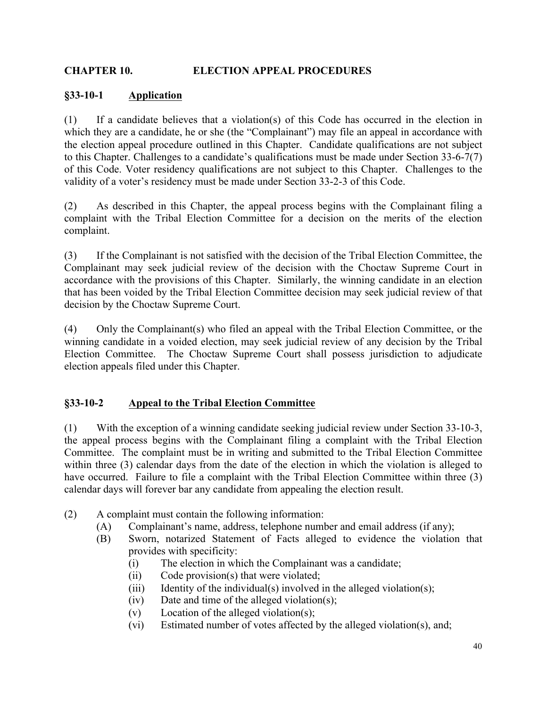### **CHAPTER 10. ELECTION APPEAL PROCEDURES**

#### **§33-10-1 Application**

(1) If a candidate believes that a violation(s) of this Code has occurred in the election in which they are a candidate, he or she (the "Complainant") may file an appeal in accordance with the election appeal procedure outlined in this Chapter. Candidate qualifications are not subject to this Chapter. Challenges to a candidate's qualifications must be made under Section 33-6-7(7) of this Code. Voter residency qualifications are not subject to this Chapter. Challenges to the validity of a voter's residency must be made under Section 33-2-3 of this Code.

(2) As described in this Chapter, the appeal process begins with the Complainant filing a complaint with the Tribal Election Committee for a decision on the merits of the election complaint.

(3) If the Complainant is not satisfied with the decision of the Tribal Election Committee, the Complainant may seek judicial review of the decision with the Choctaw Supreme Court in accordance with the provisions of this Chapter. Similarly, the winning candidate in an election that has been voided by the Tribal Election Committee decision may seek judicial review of that decision by the Choctaw Supreme Court.

(4) Only the Complainant(s) who filed an appeal with the Tribal Election Committee, or the winning candidate in a voided election, may seek judicial review of any decision by the Tribal Election Committee. The Choctaw Supreme Court shall possess jurisdiction to adjudicate election appeals filed under this Chapter.

## **§33-10-2 Appeal to the Tribal Election Committee**

(1) With the exception of a winning candidate seeking judicial review under Section 33-10-3, the appeal process begins with the Complainant filing a complaint with the Tribal Election Committee. The complaint must be in writing and submitted to the Tribal Election Committee within three (3) calendar days from the date of the election in which the violation is alleged to have occurred. Failure to file a complaint with the Tribal Election Committee within three (3) calendar days will forever bar any candidate from appealing the election result.

- (2) A complaint must contain the following information:
	- (A) Complainant's name, address, telephone number and email address (if any);
	- (B) Sworn, notarized Statement of Facts alleged to evidence the violation that provides with specificity:
		- (i) The election in which the Complainant was a candidate;
		- (ii) Code provision(s) that were violated;
		- (iii) Identity of the individual(s) involved in the alleged violation(s);
		- (iv) Date and time of the alleged violation(s);
		- (v) Location of the alleged violation(s);
		- (vi) Estimated number of votes affected by the alleged violation(s), and;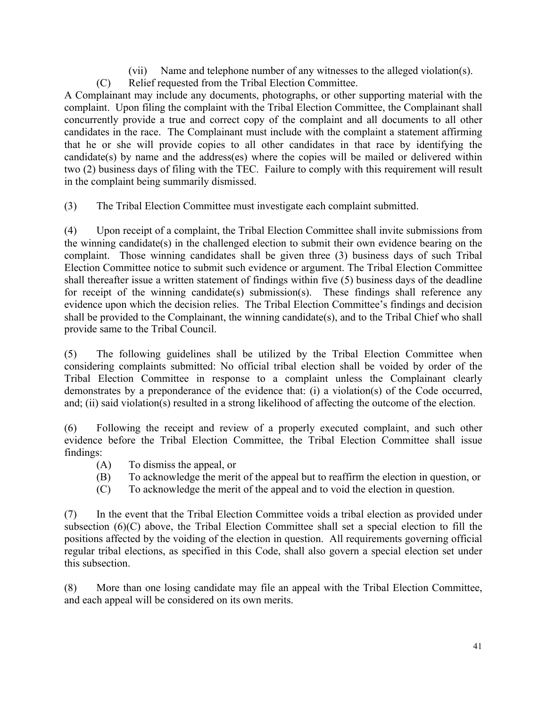- (vii) Name and telephone number of any witnesses to the alleged violation(s).
- (C) Relief requested from the Tribal Election Committee.

A Complainant may include any documents, photographs, or other supporting material with the complaint. Upon filing the complaint with the Tribal Election Committee, the Complainant shall concurrently provide a true and correct copy of the complaint and all documents to all other candidates in the race. The Complainant must include with the complaint a statement affirming that he or she will provide copies to all other candidates in that race by identifying the candidate(s) by name and the address(es) where the copies will be mailed or delivered within two (2) business days of filing with the TEC. Failure to comply with this requirement will result in the complaint being summarily dismissed.

(3) The Tribal Election Committee must investigate each complaint submitted.

(4) Upon receipt of a complaint, the Tribal Election Committee shall invite submissions from the winning candidate(s) in the challenged election to submit their own evidence bearing on the complaint. Those winning candidates shall be given three (3) business days of such Tribal Election Committee notice to submit such evidence or argument. The Tribal Election Committee shall thereafter issue a written statement of findings within five (5) business days of the deadline for receipt of the winning candidate(s) submission(s). These findings shall reference any evidence upon which the decision relies. The Tribal Election Committee's findings and decision shall be provided to the Complainant, the winning candidate(s), and to the Tribal Chief who shall provide same to the Tribal Council.

(5) The following guidelines shall be utilized by the Tribal Election Committee when considering complaints submitted: No official tribal election shall be voided by order of the Tribal Election Committee in response to a complaint unless the Complainant clearly demonstrates by a preponderance of the evidence that: (i) a violation(s) of the Code occurred, and; (ii) said violation(s) resulted in a strong likelihood of affecting the outcome of the election.

(6) Following the receipt and review of a properly executed complaint, and such other evidence before the Tribal Election Committee, the Tribal Election Committee shall issue findings:

- (A) To dismiss the appeal, or
- (B) To acknowledge the merit of the appeal but to reaffirm the election in question, or
- (C) To acknowledge the merit of the appeal and to void the election in question.

(7) In the event that the Tribal Election Committee voids a tribal election as provided under subsection (6)(C) above, the Tribal Election Committee shall set a special election to fill the positions affected by the voiding of the election in question. All requirements governing official regular tribal elections, as specified in this Code, shall also govern a special election set under this subsection.

(8) More than one losing candidate may file an appeal with the Tribal Election Committee, and each appeal will be considered on its own merits.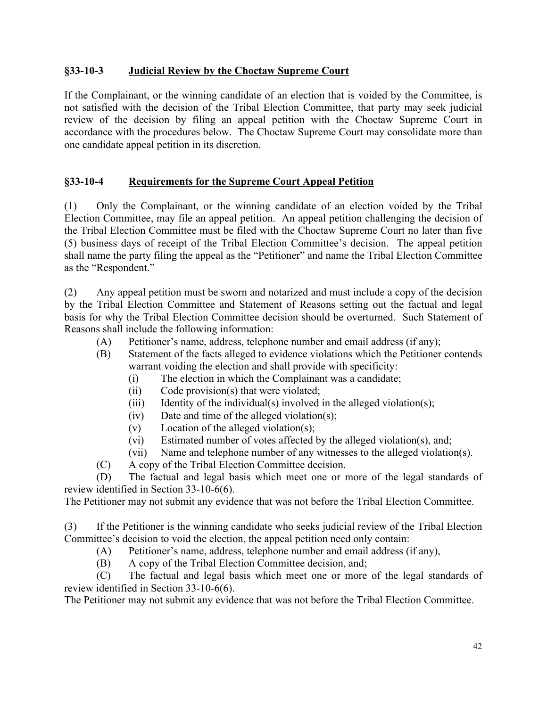### **§33-10-3 Judicial Review by the Choctaw Supreme Court**

If the Complainant, or the winning candidate of an election that is voided by the Committee, is not satisfied with the decision of the Tribal Election Committee, that party may seek judicial review of the decision by filing an appeal petition with the Choctaw Supreme Court in accordance with the procedures below. The Choctaw Supreme Court may consolidate more than one candidate appeal petition in its discretion.

### **§33-10-4 Requirements for the Supreme Court Appeal Petition**

(1) Only the Complainant, or the winning candidate of an election voided by the Tribal Election Committee, may file an appeal petition. An appeal petition challenging the decision of the Tribal Election Committee must be filed with the Choctaw Supreme Court no later than five (5) business days of receipt of the Tribal Election Committee's decision. The appeal petition shall name the party filing the appeal as the "Petitioner" and name the Tribal Election Committee as the "Respondent."

(2) Any appeal petition must be sworn and notarized and must include a copy of the decision by the Tribal Election Committee and Statement of Reasons setting out the factual and legal basis for why the Tribal Election Committee decision should be overturned. Such Statement of Reasons shall include the following information:

- (A) Petitioner's name, address, telephone number and email address (if any);
- (B) Statement of the facts alleged to evidence violations which the Petitioner contends warrant voiding the election and shall provide with specificity:
	- (i) The election in which the Complainant was a candidate;
	- (ii) Code provision(s) that were violated;
	- (iii) Identity of the individual(s) involved in the alleged violation(s);
	- (iv) Date and time of the alleged violation(s);
	- (v) Location of the alleged violation(s);
	- (vi) Estimated number of votes affected by the alleged violation(s), and;
	- (vii) Name and telephone number of any witnesses to the alleged violation(s).
- (C) A copy of the Tribal Election Committee decision.

The Petitioner may not submit any evidence that was not before the Tribal Election Committee.

(3) If the Petitioner is the winning candidate who seeks judicial review of the Tribal Election Committee's decision to void the election, the appeal petition need only contain:

- (A) Petitioner's name, address, telephone number and email address (if any),
- (B) A copy of the Tribal Election Committee decision, and;

(C) The factual and legal basis which meet one or more of the legal standards of review identified in Section 33-10-6(6).

The Petitioner may not submit any evidence that was not before the Tribal Election Committee.

<sup>(</sup>D) The factual and legal basis which meet one or more of the legal standards of review identified in Section 33-10-6(6).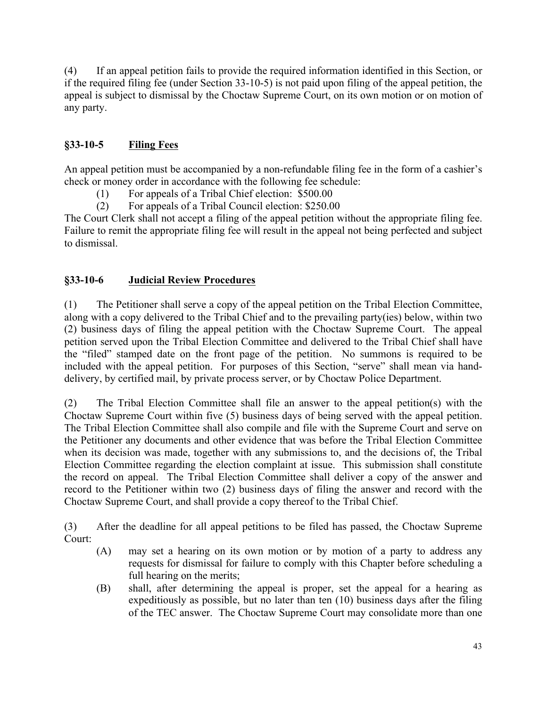(4) If an appeal petition fails to provide the required information identified in this Section, or if the required filing fee (under Section 33-10-5) is not paid upon filing of the appeal petition, the appeal is subject to dismissal by the Choctaw Supreme Court, on its own motion or on motion of any party.

# **§33-10-5 Filing Fees**

An appeal petition must be accompanied by a non-refundable filing fee in the form of a cashier's check or money order in accordance with the following fee schedule:

- (1) For appeals of a Tribal Chief election: \$500.00
- (2) For appeals of a Tribal Council election: \$250.00

The Court Clerk shall not accept a filing of the appeal petition without the appropriate filing fee. Failure to remit the appropriate filing fee will result in the appeal not being perfected and subject to dismissal.

## **§33-10-6 Judicial Review Procedures**

(1) The Petitioner shall serve a copy of the appeal petition on the Tribal Election Committee, along with a copy delivered to the Tribal Chief and to the prevailing party(ies) below, within two (2) business days of filing the appeal petition with the Choctaw Supreme Court. The appeal petition served upon the Tribal Election Committee and delivered to the Tribal Chief shall have the "filed" stamped date on the front page of the petition. No summons is required to be included with the appeal petition. For purposes of this Section, "serve" shall mean via handdelivery, by certified mail, by private process server, or by Choctaw Police Department.

(2) The Tribal Election Committee shall file an answer to the appeal petition(s) with the Choctaw Supreme Court within five (5) business days of being served with the appeal petition. The Tribal Election Committee shall also compile and file with the Supreme Court and serve on the Petitioner any documents and other evidence that was before the Tribal Election Committee when its decision was made, together with any submissions to, and the decisions of, the Tribal Election Committee regarding the election complaint at issue. This submission shall constitute the record on appeal. The Tribal Election Committee shall deliver a copy of the answer and record to the Petitioner within two (2) business days of filing the answer and record with the Choctaw Supreme Court, and shall provide a copy thereof to the Tribal Chief.

(3) After the deadline for all appeal petitions to be filed has passed, the Choctaw Supreme Court:

- (A) may set a hearing on its own motion or by motion of a party to address any requests for dismissal for failure to comply with this Chapter before scheduling a full hearing on the merits;
- (B) shall, after determining the appeal is proper, set the appeal for a hearing as expeditiously as possible, but no later than ten (10) business days after the filing of the TEC answer. The Choctaw Supreme Court may consolidate more than one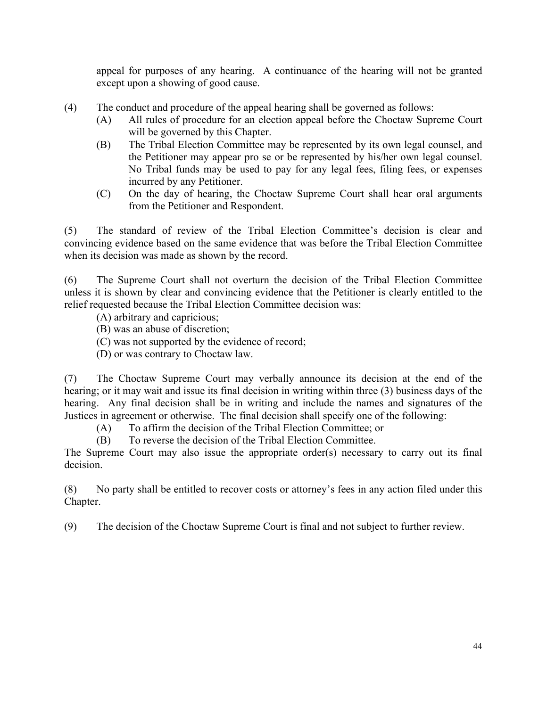appeal for purposes of any hearing. A continuance of the hearing will not be granted except upon a showing of good cause.

- (4) The conduct and procedure of the appeal hearing shall be governed as follows:
	- (A) All rules of procedure for an election appeal before the Choctaw Supreme Court will be governed by this Chapter.
	- (B) The Tribal Election Committee may be represented by its own legal counsel, and the Petitioner may appear pro se or be represented by his/her own legal counsel. No Tribal funds may be used to pay for any legal fees, filing fees, or expenses incurred by any Petitioner.
	- (C) On the day of hearing, the Choctaw Supreme Court shall hear oral arguments from the Petitioner and Respondent.

(5) The standard of review of the Tribal Election Committee's decision is clear and convincing evidence based on the same evidence that was before the Tribal Election Committee when its decision was made as shown by the record.

(6) The Supreme Court shall not overturn the decision of the Tribal Election Committee unless it is shown by clear and convincing evidence that the Petitioner is clearly entitled to the relief requested because the Tribal Election Committee decision was:

- (A) arbitrary and capricious;
- (B) was an abuse of discretion;
- (C) was not supported by the evidence of record;
- (D) or was contrary to Choctaw law.

(7) The Choctaw Supreme Court may verbally announce its decision at the end of the hearing; or it may wait and issue its final decision in writing within three (3) business days of the hearing. Any final decision shall be in writing and include the names and signatures of the Justices in agreement or otherwise. The final decision shall specify one of the following:

(A) To affirm the decision of the Tribal Election Committee; or

(B) To reverse the decision of the Tribal Election Committee.

The Supreme Court may also issue the appropriate order(s) necessary to carry out its final decision.

(8) No party shall be entitled to recover costs or attorney's fees in any action filed under this Chapter.

(9) The decision of the Choctaw Supreme Court is final and not subject to further review.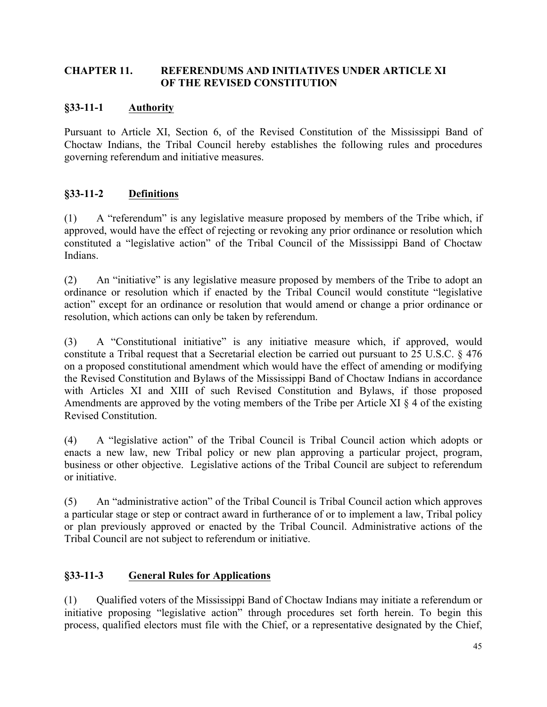#### **CHAPTER 11. REFERENDUMS AND INITIATIVES UNDER ARTICLE XI OF THE REVISED CONSTITUTION**

### **§33-11-1 Authority**

Pursuant to Article XI, Section 6, of the Revised Constitution of the Mississippi Band of Choctaw Indians, the Tribal Council hereby establishes the following rules and procedures governing referendum and initiative measures.

### **§33-11-2 Definitions**

(1) A "referendum" is any legislative measure proposed by members of the Tribe which, if approved, would have the effect of rejecting or revoking any prior ordinance or resolution which constituted a "legislative action" of the Tribal Council of the Mississippi Band of Choctaw Indians.

(2) An "initiative" is any legislative measure proposed by members of the Tribe to adopt an ordinance or resolution which if enacted by the Tribal Council would constitute "legislative action" except for an ordinance or resolution that would amend or change a prior ordinance or resolution, which actions can only be taken by referendum.

(3) A "Constitutional initiative" is any initiative measure which, if approved, would constitute a Tribal request that a Secretarial election be carried out pursuant to 25 U.S.C. § 476 on a proposed constitutional amendment which would have the effect of amending or modifying the Revised Constitution and Bylaws of the Mississippi Band of Choctaw Indians in accordance with Articles XI and XIII of such Revised Constitution and Bylaws, if those proposed Amendments are approved by the voting members of the Tribe per Article XI § 4 of the existing Revised Constitution.

(4) A "legislative action" of the Tribal Council is Tribal Council action which adopts or enacts a new law, new Tribal policy or new plan approving a particular project, program, business or other objective. Legislative actions of the Tribal Council are subject to referendum or initiative.

(5) An "administrative action" of the Tribal Council is Tribal Council action which approves a particular stage or step or contract award in furtherance of or to implement a law, Tribal policy or plan previously approved or enacted by the Tribal Council. Administrative actions of the Tribal Council are not subject to referendum or initiative.

#### **§33-11-3 General Rules for Applications**

(1) Qualified voters of the Mississippi Band of Choctaw Indians may initiate a referendum or initiative proposing "legislative action" through procedures set forth herein. To begin this process, qualified electors must file with the Chief, or a representative designated by the Chief,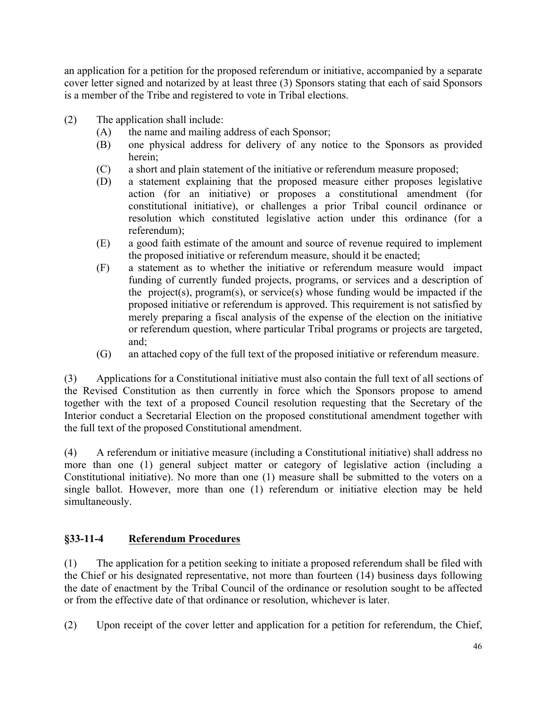an application for a petition for the proposed referendum or initiative, accompanied by a separate cover letter signed and notarized by at least three (3) Sponsors stating that each of said Sponsors is a member of the Tribe and registered to vote in Tribal elections.

- (2) The application shall include:
	- (A) the name and mailing address of each Sponsor;
	- (B) one physical address for delivery of any notice to the Sponsors as provided herein;
	- (C) a short and plain statement of the initiative or referendum measure proposed;
	- (D) a statement explaining that the proposed measure either proposes legislative action (for an initiative) or proposes a constitutional amendment (for constitutional initiative), or challenges a prior Tribal council ordinance or resolution which constituted legislative action under this ordinance (for a referendum);
	- (E) a good faith estimate of the amount and source of revenue required to implement the proposed initiative or referendum measure, should it be enacted;
	- (F) a statement as to whether the initiative or referendum measure would impact funding of currently funded projects, programs, or services and a description of the project(s), program(s), or service(s) whose funding would be impacted if the proposed initiative or referendum is approved. This requirement is not satisfied by merely preparing a fiscal analysis of the expense of the election on the initiative or referendum question, where particular Tribal programs or projects are targeted, and;
	- (G) an attached copy of the full text of the proposed initiative or referendum measure.

(3) Applications for a Constitutional initiative must also contain the full text of all sections of the Revised Constitution as then currently in force which the Sponsors propose to amend together with the text of a proposed Council resolution requesting that the Secretary of the Interior conduct a Secretarial Election on the proposed constitutional amendment together with the full text of the proposed Constitutional amendment.

(4) A referendum or initiative measure (including a Constitutional initiative) shall address no more than one (1) general subject matter or category of legislative action (including a Constitutional initiative). No more than one (1) measure shall be submitted to the voters on a single ballot. However, more than one (1) referendum or initiative election may be held simultaneously.

#### **§33-11-4 Referendum Procedures**

(1) The application for a petition seeking to initiate a proposed referendum shall be filed with the Chief or his designated representative, not more than fourteen (14) business days following the date of enactment by the Tribal Council of the ordinance or resolution sought to be affected or from the effective date of that ordinance or resolution, whichever is later.

(2) Upon receipt of the cover letter and application for a petition for referendum, the Chief,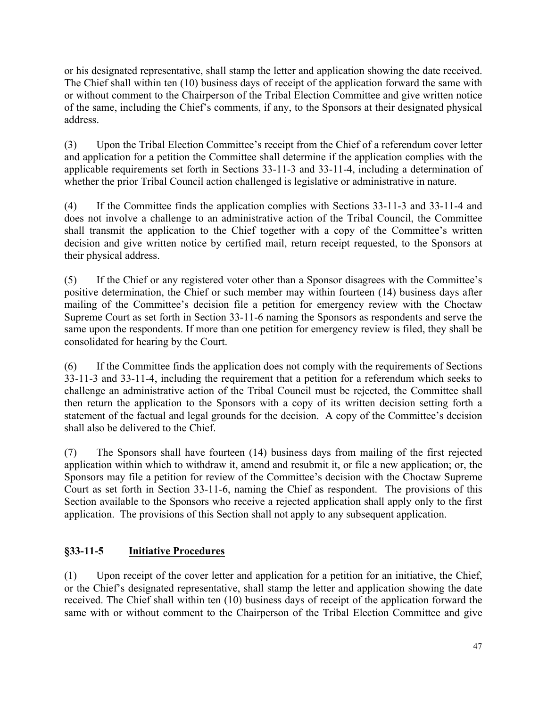or his designated representative, shall stamp the letter and application showing the date received. The Chief shall within ten (10) business days of receipt of the application forward the same with or without comment to the Chairperson of the Tribal Election Committee and give written notice of the same, including the Chief's comments, if any, to the Sponsors at their designated physical address.

(3) Upon the Tribal Election Committee's receipt from the Chief of a referendum cover letter and application for a petition the Committee shall determine if the application complies with the applicable requirements set forth in Sections 33-11-3 and 33-11-4, including a determination of whether the prior Tribal Council action challenged is legislative or administrative in nature.

(4) If the Committee finds the application complies with Sections 33-11-3 and 33-11-4 and does not involve a challenge to an administrative action of the Tribal Council, the Committee shall transmit the application to the Chief together with a copy of the Committee's written decision and give written notice by certified mail, return receipt requested, to the Sponsors at their physical address.

(5) If the Chief or any registered voter other than a Sponsor disagrees with the Committee's positive determination, the Chief or such member may within fourteen (14) business days after mailing of the Committee's decision file a petition for emergency review with the Choctaw Supreme Court as set forth in Section 33-11-6 naming the Sponsors as respondents and serve the same upon the respondents. If more than one petition for emergency review is filed, they shall be consolidated for hearing by the Court.

(6) If the Committee finds the application does not comply with the requirements of Sections 33-11-3 and 33-11-4, including the requirement that a petition for a referendum which seeks to challenge an administrative action of the Tribal Council must be rejected, the Committee shall then return the application to the Sponsors with a copy of its written decision setting forth a statement of the factual and legal grounds for the decision. A copy of the Committee's decision shall also be delivered to the Chief.

(7) The Sponsors shall have fourteen (14) business days from mailing of the first rejected application within which to withdraw it, amend and resubmit it, or file a new application; or, the Sponsors may file a petition for review of the Committee's decision with the Choctaw Supreme Court as set forth in Section 33-11-6, naming the Chief as respondent. The provisions of this Section available to the Sponsors who receive a rejected application shall apply only to the first application. The provisions of this Section shall not apply to any subsequent application.

# **§33-11-5 Initiative Procedures**

(1) Upon receipt of the cover letter and application for a petition for an initiative, the Chief, or the Chief's designated representative, shall stamp the letter and application showing the date received. The Chief shall within ten (10) business days of receipt of the application forward the same with or without comment to the Chairperson of the Tribal Election Committee and give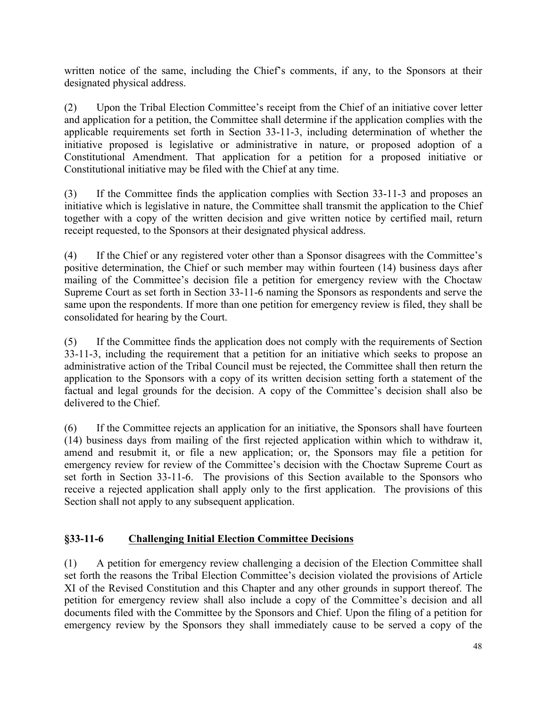written notice of the same, including the Chief's comments, if any, to the Sponsors at their designated physical address.

(2) Upon the Tribal Election Committee's receipt from the Chief of an initiative cover letter and application for a petition, the Committee shall determine if the application complies with the applicable requirements set forth in Section 33-11-3, including determination of whether the initiative proposed is legislative or administrative in nature, or proposed adoption of a Constitutional Amendment. That application for a petition for a proposed initiative or Constitutional initiative may be filed with the Chief at any time.

(3) If the Committee finds the application complies with Section 33-11-3 and proposes an initiative which is legislative in nature, the Committee shall transmit the application to the Chief together with a copy of the written decision and give written notice by certified mail, return receipt requested, to the Sponsors at their designated physical address.

(4) If the Chief or any registered voter other than a Sponsor disagrees with the Committee's positive determination, the Chief or such member may within fourteen (14) business days after mailing of the Committee's decision file a petition for emergency review with the Choctaw Supreme Court as set forth in Section 33-11-6 naming the Sponsors as respondents and serve the same upon the respondents. If more than one petition for emergency review is filed, they shall be consolidated for hearing by the Court.

(5) If the Committee finds the application does not comply with the requirements of Section 33-11-3, including the requirement that a petition for an initiative which seeks to propose an administrative action of the Tribal Council must be rejected, the Committee shall then return the application to the Sponsors with a copy of its written decision setting forth a statement of the factual and legal grounds for the decision. A copy of the Committee's decision shall also be delivered to the Chief.

(6) If the Committee rejects an application for an initiative, the Sponsors shall have fourteen (14) business days from mailing of the first rejected application within which to withdraw it, amend and resubmit it, or file a new application; or, the Sponsors may file a petition for emergency review for review of the Committee's decision with the Choctaw Supreme Court as set forth in Section 33-11-6. The provisions of this Section available to the Sponsors who receive a rejected application shall apply only to the first application. The provisions of this Section shall not apply to any subsequent application.

## **§33-11-6 Challenging Initial Election Committee Decisions**

(1) A petition for emergency review challenging a decision of the Election Committee shall set forth the reasons the Tribal Election Committee's decision violated the provisions of Article XI of the Revised Constitution and this Chapter and any other grounds in support thereof. The petition for emergency review shall also include a copy of the Committee's decision and all documents filed with the Committee by the Sponsors and Chief. Upon the filing of a petition for emergency review by the Sponsors they shall immediately cause to be served a copy of the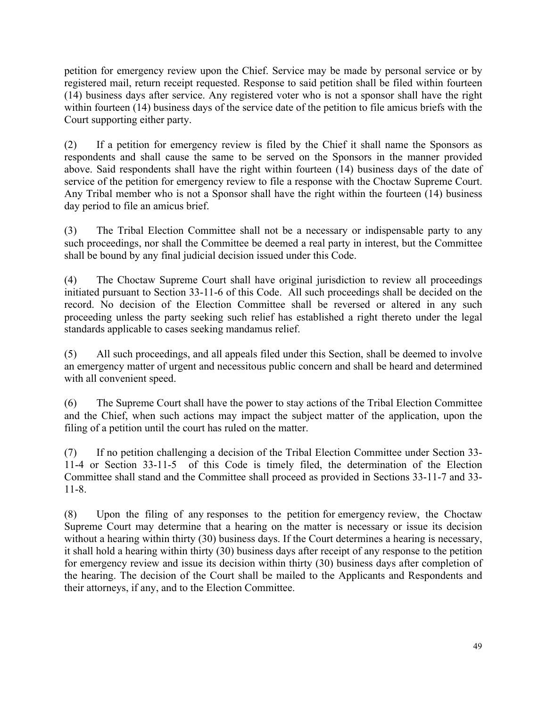petition for emergency review upon the Chief. Service may be made by personal service or by registered mail, return receipt requested. Response to said petition shall be filed within fourteen (14) business days after service. Any registered voter who is not a sponsor shall have the right within fourteen (14) business days of the service date of the petition to file amicus briefs with the Court supporting either party.

(2) If a petition for emergency review is filed by the Chief it shall name the Sponsors as respondents and shall cause the same to be served on the Sponsors in the manner provided above. Said respondents shall have the right within fourteen (14) business days of the date of service of the petition for emergency review to file a response with the Choctaw Supreme Court. Any Tribal member who is not a Sponsor shall have the right within the fourteen (14) business day period to file an amicus brief.

(3) The Tribal Election Committee shall not be a necessary or indispensable party to any such proceedings, nor shall the Committee be deemed a real party in interest, but the Committee shall be bound by any final judicial decision issued under this Code.

(4) The Choctaw Supreme Court shall have original jurisdiction to review all proceedings initiated pursuant to Section 33-11-6 of this Code. All such proceedings shall be decided on the record. No decision of the Election Committee shall be reversed or altered in any such proceeding unless the party seeking such relief has established a right thereto under the legal standards applicable to cases seeking mandamus relief.

(5) All such proceedings, and all appeals filed under this Section, shall be deemed to involve an emergency matter of urgent and necessitous public concern and shall be heard and determined with all convenient speed.

(6) The Supreme Court shall have the power to stay actions of the Tribal Election Committee and the Chief, when such actions may impact the subject matter of the application, upon the filing of a petition until the court has ruled on the matter.

(7) If no petition challenging a decision of the Tribal Election Committee under Section 33- 11-4 or Section 33-11-5 of this Code is timely filed, the determination of the Election Committee shall stand and the Committee shall proceed as provided in Sections 33-11-7 and 33- 11-8.

(8) Upon the filing of any responses to the petition for emergency review, the Choctaw Supreme Court may determine that a hearing on the matter is necessary or issue its decision without a hearing within thirty (30) business days. If the Court determines a hearing is necessary, it shall hold a hearing within thirty (30) business days after receipt of any response to the petition for emergency review and issue its decision within thirty (30) business days after completion of the hearing. The decision of the Court shall be mailed to the Applicants and Respondents and their attorneys, if any, and to the Election Committee.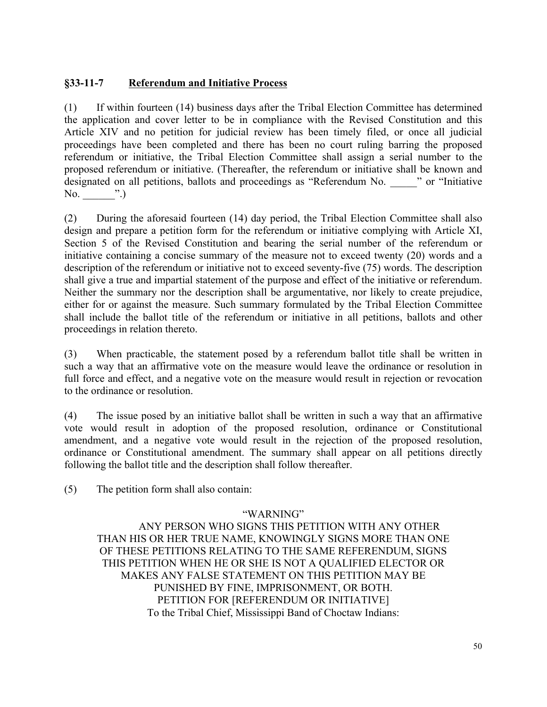### **§33-11-7 Referendum and Initiative Process**

(1) If within fourteen (14) business days after the Tribal Election Committee has determined the application and cover letter to be in compliance with the Revised Constitution and this Article XIV and no petition for judicial review has been timely filed, or once all judicial proceedings have been completed and there has been no court ruling barring the proposed referendum or initiative, the Tribal Election Committee shall assign a serial number to the proposed referendum or initiative. (Thereafter, the referendum or initiative shall be known and designated on all petitions, ballots and proceedings as "Referendum No.  $\cdot$  " or "Initiative" No.  $\blacksquare$  .)

(2) During the aforesaid fourteen (14) day period, the Tribal Election Committee shall also design and prepare a petition form for the referendum or initiative complying with Article XI, Section 5 of the Revised Constitution and bearing the serial number of the referendum or initiative containing a concise summary of the measure not to exceed twenty (20) words and a description of the referendum or initiative not to exceed seventy-five (75) words. The description shall give a true and impartial statement of the purpose and effect of the initiative or referendum. Neither the summary nor the description shall be argumentative, nor likely to create prejudice, either for or against the measure. Such summary formulated by the Tribal Election Committee shall include the ballot title of the referendum or initiative in all petitions, ballots and other proceedings in relation thereto.

(3) When practicable, the statement posed by a referendum ballot title shall be written in such a way that an affirmative vote on the measure would leave the ordinance or resolution in full force and effect, and a negative vote on the measure would result in rejection or revocation to the ordinance or resolution.

(4) The issue posed by an initiative ballot shall be written in such a way that an affirmative vote would result in adoption of the proposed resolution, ordinance or Constitutional amendment, and a negative vote would result in the rejection of the proposed resolution, ordinance or Constitutional amendment. The summary shall appear on all petitions directly following the ballot title and the description shall follow thereafter.

(5) The petition form shall also contain:

#### "WARNING"

ANY PERSON WHO SIGNS THIS PETITION WITH ANY OTHER THAN HIS OR HER TRUE NAME, KNOWINGLY SIGNS MORE THAN ONE OF THESE PETITIONS RELATING TO THE SAME REFERENDUM, SIGNS THIS PETITION WHEN HE OR SHE IS NOT A QUALIFIED ELECTOR OR MAKES ANY FALSE STATEMENT ON THIS PETITION MAY BE PUNISHED BY FINE, IMPRISONMENT, OR BOTH. PETITION FOR [REFERENDUM OR INITIATIVE] To the Tribal Chief, Mississippi Band of Choctaw Indians: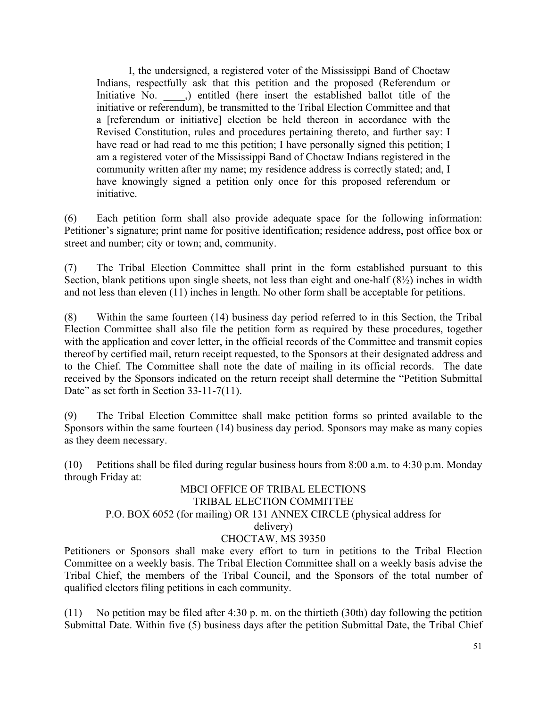I, the undersigned, a registered voter of the Mississippi Band of Choctaw Indians, respectfully ask that this petition and the proposed (Referendum or Initiative No.  $\qquad$ , entitled (here insert the established ballot title of the initiative or referendum), be transmitted to the Tribal Election Committee and that a [referendum or initiative] election be held thereon in accordance with the Revised Constitution, rules and procedures pertaining thereto, and further say: I have read or had read to me this petition; I have personally signed this petition; I am a registered voter of the Mississippi Band of Choctaw Indians registered in the community written after my name; my residence address is correctly stated; and, I have knowingly signed a petition only once for this proposed referendum or initiative.

(6) Each petition form shall also provide adequate space for the following information: Petitioner's signature; print name for positive identification; residence address, post office box or street and number; city or town; and, community.

(7) The Tribal Election Committee shall print in the form established pursuant to this Section, blank petitions upon single sheets, not less than eight and one-half (8½) inches in width and not less than eleven (11) inches in length. No other form shall be acceptable for petitions.

(8) Within the same fourteen (14) business day period referred to in this Section, the Tribal Election Committee shall also file the petition form as required by these procedures, together with the application and cover letter, in the official records of the Committee and transmit copies thereof by certified mail, return receipt requested, to the Sponsors at their designated address and to the Chief. The Committee shall note the date of mailing in its official records. The date received by the Sponsors indicated on the return receipt shall determine the "Petition Submittal Date" as set forth in Section 33-11-7(11).

(9) The Tribal Election Committee shall make petition forms so printed available to the Sponsors within the same fourteen (14) business day period. Sponsors may make as many copies as they deem necessary.

(10) Petitions shall be filed during regular business hours from 8:00 a.m. to 4:30 p.m. Monday through Friday at:

#### MBCI OFFICE OF TRIBAL ELECTIONS TRIBAL ELECTION COMMITTEE P.O. BOX 6052 (for mailing) OR 131 ANNEX CIRCLE (physical address for delivery) CHOCTAW, MS 39350

Petitioners or Sponsors shall make every effort to turn in petitions to the Tribal Election Committee on a weekly basis. The Tribal Election Committee shall on a weekly basis advise the Tribal Chief, the members of the Tribal Council, and the Sponsors of the total number of qualified electors filing petitions in each community.

(11) No petition may be filed after 4:30 p. m. on the thirtieth (30th) day following the petition Submittal Date. Within five (5) business days after the petition Submittal Date, the Tribal Chief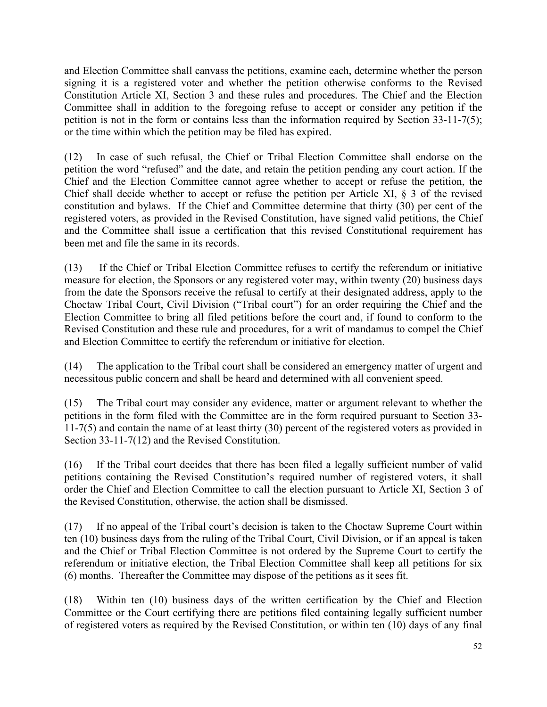and Election Committee shall canvass the petitions, examine each, determine whether the person signing it is a registered voter and whether the petition otherwise conforms to the Revised Constitution Article XI, Section 3 and these rules and procedures. The Chief and the Election Committee shall in addition to the foregoing refuse to accept or consider any petition if the petition is not in the form or contains less than the information required by Section 33-11-7(5); or the time within which the petition may be filed has expired.

(12) In case of such refusal, the Chief or Tribal Election Committee shall endorse on the petition the word "refused" and the date, and retain the petition pending any court action. If the Chief and the Election Committee cannot agree whether to accept or refuse the petition, the Chief shall decide whether to accept or refuse the petition per Article XI, § 3 of the revised constitution and bylaws. If the Chief and Committee determine that thirty (30) per cent of the registered voters, as provided in the Revised Constitution, have signed valid petitions, the Chief and the Committee shall issue a certification that this revised Constitutional requirement has been met and file the same in its records.

(13) If the Chief or Tribal Election Committee refuses to certify the referendum or initiative measure for election, the Sponsors or any registered voter may, within twenty (20) business days from the date the Sponsors receive the refusal to certify at their designated address, apply to the Choctaw Tribal Court, Civil Division ("Tribal court") for an order requiring the Chief and the Election Committee to bring all filed petitions before the court and, if found to conform to the Revised Constitution and these rule and procedures, for a writ of mandamus to compel the Chief and Election Committee to certify the referendum or initiative for election.

(14) The application to the Tribal court shall be considered an emergency matter of urgent and necessitous public concern and shall be heard and determined with all convenient speed.

(15) The Tribal court may consider any evidence, matter or argument relevant to whether the petitions in the form filed with the Committee are in the form required pursuant to Section 33- 11-7(5) and contain the name of at least thirty (30) percent of the registered voters as provided in Section 33-11-7(12) and the Revised Constitution.

(16) If the Tribal court decides that there has been filed a legally sufficient number of valid petitions containing the Revised Constitution's required number of registered voters, it shall order the Chief and Election Committee to call the election pursuant to Article XI, Section 3 of the Revised Constitution, otherwise, the action shall be dismissed.

(17) If no appeal of the Tribal court's decision is taken to the Choctaw Supreme Court within ten (10) business days from the ruling of the Tribal Court, Civil Division, or if an appeal is taken and the Chief or Tribal Election Committee is not ordered by the Supreme Court to certify the referendum or initiative election, the Tribal Election Committee shall keep all petitions for six (6) months. Thereafter the Committee may dispose of the petitions as it sees fit.

(18) Within ten (10) business days of the written certification by the Chief and Election Committee or the Court certifying there are petitions filed containing legally sufficient number of registered voters as required by the Revised Constitution, or within ten (10) days of any final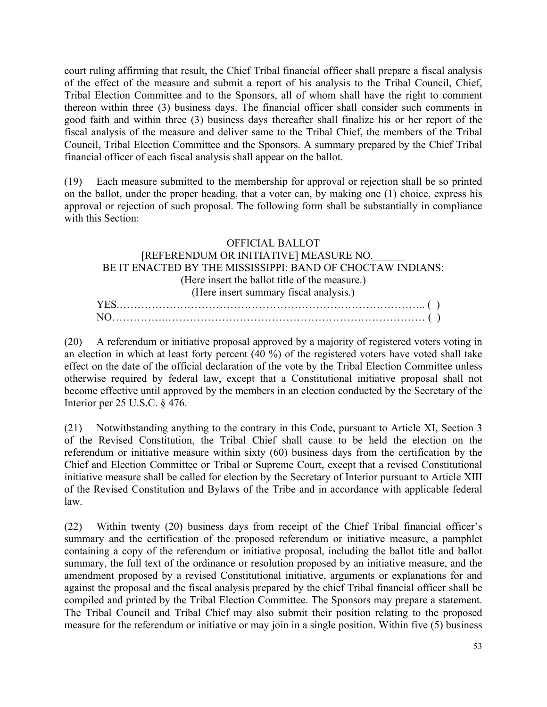court ruling affirming that result, the Chief Tribal financial officer shall prepare a fiscal analysis of the effect of the measure and submit a report of his analysis to the Tribal Council, Chief, Tribal Election Committee and to the Sponsors, all of whom shall have the right to comment thereon within three (3) business days. The financial officer shall consider such comments in good faith and within three (3) business days thereafter shall finalize his or her report of the fiscal analysis of the measure and deliver same to the Tribal Chief, the members of the Tribal Council, Tribal Election Committee and the Sponsors. A summary prepared by the Chief Tribal financial officer of each fiscal analysis shall appear on the ballot.

(19) Each measure submitted to the membership for approval or rejection shall be so printed on the ballot, under the proper heading, that a voter can, by making one (1) choice, express his approval or rejection of such proposal. The following form shall be substantially in compliance with this Section:

#### OFFICIAL BALLOT [REFERENDUM OR INITIATIVE] MEASURE NO.\_\_\_\_\_\_ BE IT ENACTED BY THE MISSISSIPPI: BAND OF CHOCTAW INDIANS: (Here insert the ballot title of the measure.) (Here insert summary fiscal analysis.) YES.………………………………………………………………………….. ( ) NO…………….……………………………………………………………… ( )

(20) A referendum or initiative proposal approved by a majority of registered voters voting in an election in which at least forty percent (40 %) of the registered voters have voted shall take effect on the date of the official declaration of the vote by the Tribal Election Committee unless otherwise required by federal law, except that a Constitutional initiative proposal shall not become effective until approved by the members in an election conducted by the Secretary of the Interior per 25 U.S.C. § 476.

(21) Notwithstanding anything to the contrary in this Code, pursuant to Article XI, Section 3 of the Revised Constitution, the Tribal Chief shall cause to be held the election on the referendum or initiative measure within sixty (60) business days from the certification by the Chief and Election Committee or Tribal or Supreme Court, except that a revised Constitutional initiative measure shall be called for election by the Secretary of Interior pursuant to Article XIII of the Revised Constitution and Bylaws of the Tribe and in accordance with applicable federal law.

(22) Within twenty (20) business days from receipt of the Chief Tribal financial officer's summary and the certification of the proposed referendum or initiative measure, a pamphlet containing a copy of the referendum or initiative proposal, including the ballot title and ballot summary, the full text of the ordinance or resolution proposed by an initiative measure, and the amendment proposed by a revised Constitutional initiative, arguments or explanations for and against the proposal and the fiscal analysis prepared by the chief Tribal financial officer shall be compiled and printed by the Tribal Election Committee. The Sponsors may prepare a statement. The Tribal Council and Tribal Chief may also submit their position relating to the proposed measure for the referendum or initiative or may join in a single position. Within five (5) business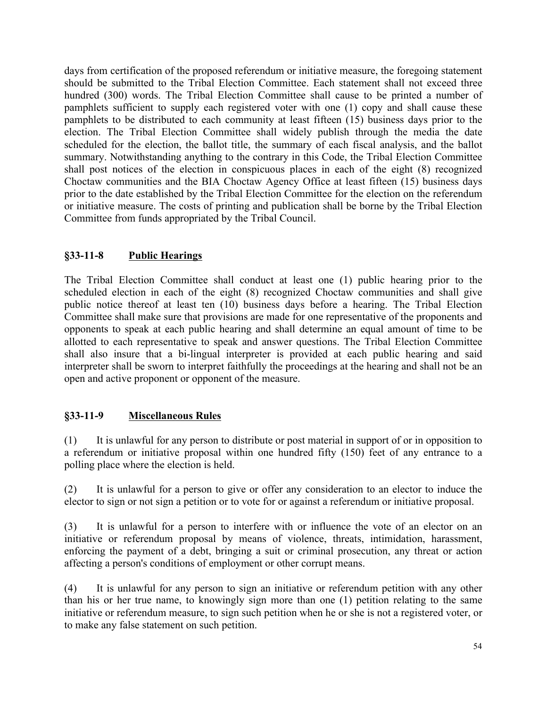days from certification of the proposed referendum or initiative measure, the foregoing statement should be submitted to the Tribal Election Committee. Each statement shall not exceed three hundred (300) words. The Tribal Election Committee shall cause to be printed a number of pamphlets sufficient to supply each registered voter with one (1) copy and shall cause these pamphlets to be distributed to each community at least fifteen (15) business days prior to the election. The Tribal Election Committee shall widely publish through the media the date scheduled for the election, the ballot title, the summary of each fiscal analysis, and the ballot summary. Notwithstanding anything to the contrary in this Code, the Tribal Election Committee shall post notices of the election in conspicuous places in each of the eight (8) recognized Choctaw communities and the BIA Choctaw Agency Office at least fifteen (15) business days prior to the date established by the Tribal Election Committee for the election on the referendum or initiative measure. The costs of printing and publication shall be borne by the Tribal Election Committee from funds appropriated by the Tribal Council.

## **§33-11-8 Public Hearings**

The Tribal Election Committee shall conduct at least one (1) public hearing prior to the scheduled election in each of the eight (8) recognized Choctaw communities and shall give public notice thereof at least ten (10) business days before a hearing. The Tribal Election Committee shall make sure that provisions are made for one representative of the proponents and opponents to speak at each public hearing and shall determine an equal amount of time to be allotted to each representative to speak and answer questions. The Tribal Election Committee shall also insure that a bi-lingual interpreter is provided at each public hearing and said interpreter shall be sworn to interpret faithfully the proceedings at the hearing and shall not be an open and active proponent or opponent of the measure.

## **§33-11-9 Miscellaneous Rules**

(1) It is unlawful for any person to distribute or post material in support of or in opposition to a referendum or initiative proposal within one hundred fifty (150) feet of any entrance to a polling place where the election is held.

(2) It is unlawful for a person to give or offer any consideration to an elector to induce the elector to sign or not sign a petition or to vote for or against a referendum or initiative proposal.

(3) It is unlawful for a person to interfere with or influence the vote of an elector on an initiative or referendum proposal by means of violence, threats, intimidation, harassment, enforcing the payment of a debt, bringing a suit or criminal prosecution, any threat or action affecting a person's conditions of employment or other corrupt means.

(4) It is unlawful for any person to sign an initiative or referendum petition with any other than his or her true name, to knowingly sign more than one (1) petition relating to the same initiative or referendum measure, to sign such petition when he or she is not a registered voter, or to make any false statement on such petition.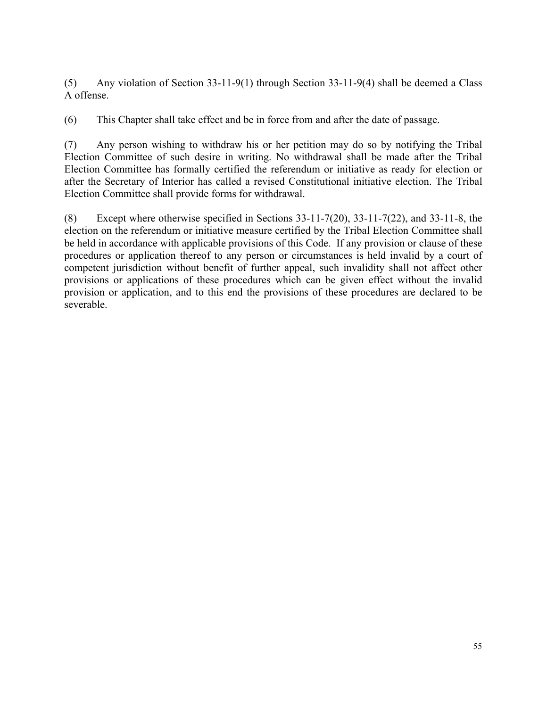(5) Any violation of Section 33-11-9(1) through Section 33-11-9(4) shall be deemed a Class A offense.

(6) This Chapter shall take effect and be in force from and after the date of passage.

(7) Any person wishing to withdraw his or her petition may do so by notifying the Tribal Election Committee of such desire in writing. No withdrawal shall be made after the Tribal Election Committee has formally certified the referendum or initiative as ready for election or after the Secretary of Interior has called a revised Constitutional initiative election. The Tribal Election Committee shall provide forms for withdrawal.

(8) Except where otherwise specified in Sections 33-11-7(20), 33-11-7(22), and 33-11-8, the election on the referendum or initiative measure certified by the Tribal Election Committee shall be held in accordance with applicable provisions of this Code. If any provision or clause of these procedures or application thereof to any person or circumstances is held invalid by a court of competent jurisdiction without benefit of further appeal, such invalidity shall not affect other provisions or applications of these procedures which can be given effect without the invalid provision or application, and to this end the provisions of these procedures are declared to be severable.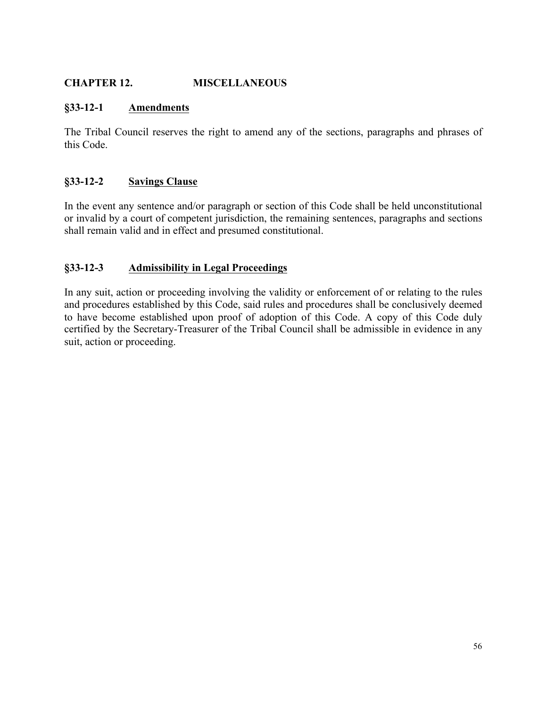## **CHAPTER 12. MISCELLANEOUS**

#### **§33-12-1 Amendments**

The Tribal Council reserves the right to amend any of the sections, paragraphs and phrases of this Code.

### **§33-12-2 Savings Clause**

In the event any sentence and/or paragraph or section of this Code shall be held unconstitutional or invalid by a court of competent jurisdiction, the remaining sentences, paragraphs and sections shall remain valid and in effect and presumed constitutional.

### **§33-12-3 Admissibility in Legal Proceedings**

In any suit, action or proceeding involving the validity or enforcement of or relating to the rules and procedures established by this Code, said rules and procedures shall be conclusively deemed to have become established upon proof of adoption of this Code. A copy of this Code duly certified by the Secretary-Treasurer of the Tribal Council shall be admissible in evidence in any suit, action or proceeding.